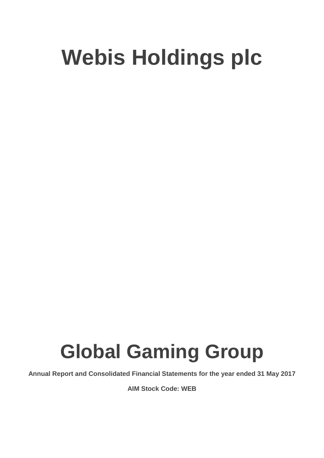# **Global Gaming Group**

**Annual Report and Consolidated Financial Statements for the year ended 31 May 2017**

**AIM Stock Code: WEB**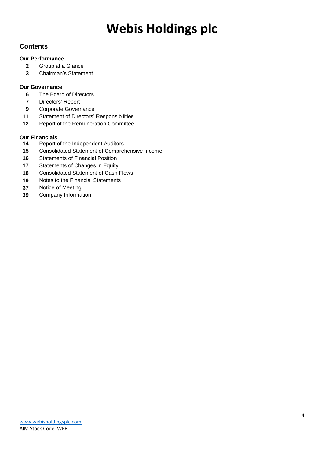## **Contents**

### **Our Performance**

- Group at a Glance
- Chairman's Statement

### **Our Governance**

- The Board of Directors
- Directors' Report
- Corporate Governance
- Statement of Directors' Responsibilities
- Report of the Remuneration Committee

### **Our Financials**

- Report of the Independent Auditors
- Consolidated Statement of Comprehensive Income
- Statements of Financial Position
- Statements of Changes in Equity
- Consolidated Statement of Cash Flows
- Notes to the Financial Statements
- Notice of Meeting
- Company Information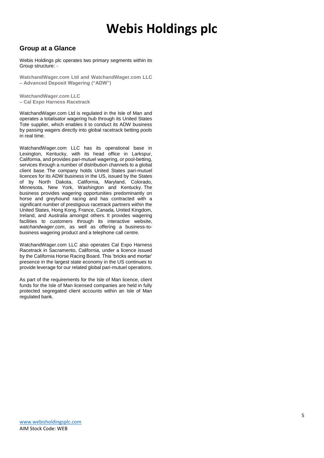### **Group at a Glance**

Webis Holdings plc operates two primary segments within its Group structure: -

**WatchandWager.com Ltd and WatchandWager.com LLC – Advanced Deposit Wagering ("ADW")**

**WatchandWager.com LLC – Cal Expo Harness Racetrack**

WatchandWager.com Ltd is regulated in the Isle of Man and operates a totalisator wagering hub through its United States Tote supplier, which enables it to conduct its ADW business by passing wagers directly into global racetrack betting pools in real time.

WatchandWager.com LLC has its operational base in Lexington, Kentucky, with its head office in Larkspur, California, and provides pari-mutuel wagering, or pool-betting, services through a number of distribution channels to a global client base. The company holds United States pari-mutuel licences for its ADW business in the US, issued by the States of by North Dakota, California, Maryland, Colorado, Minnesota, New York, Washington and Kentucky. The business provides wagering opportunities predominantly on horse and greyhound racing and has contracted with a significant number of prestigious racetrack partners within the United States, Hong Kong, France, Canada, United Kingdom, Ireland, and Australia amongst others. It provides wagering facilities to customers through its interactive website, *watchandwager.com*, as well as offering a business-tobusiness wagering product and a telephone call centre.

WatchandWager.com LLC also operates Cal Expo Harness Racetrack in Sacramento, California, under a licence issued by the California Horse Racing Board. This 'bricks and mortar' presence in the largest state economy in the US continues to provide leverage for our related global pari-mutuel operations.

As part of the requirements for the Isle of Man licence, client funds for the Isle of Man licensed companies are held in fully protected segregated client accounts within an Isle of Man regulated bank.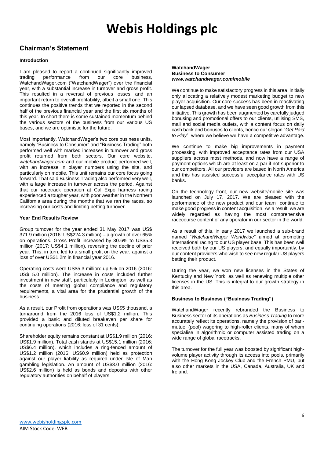## **Chairman's Statement**

#### **Introduction**

I am pleased to report a continued significantly improved trading performance from our core business, WatchandWager.com ("WatchandWager") over the financial year, with a substantial increase in turnover and gross profit. This resulted in a reversal of previous losses, and an important return to overall profitability, albeit a small one. This continues the positive trends that we reported in the second half of the previous financial year and the first six months of this year. In short there is some sustained momentum behind the various sectors of the business from our various US bases, and we are optimistic for the future.

Most importantly, WatchandWager's two core business units, namely "Business to Consumer" and "Business Trading" both performed well with marked increases in turnover and gross profit returned from both sectors. Our core website, *watchandwager.com* and our mobile product performed well, with an increase in player numbers using the site, and particularly on mobile. This unit remains our core focus going forward. That said Business Trading also performed very well, with a large increase in turnover across the period. Against that our racetrack operation at Cal Expo harness racing experienced a tougher year, with poor weather in the Northern California area during the months that we ran the races, so increasing our costs and limiting betting turnover.

#### **Year End Results Review**

Group turnover for the year ended 31 May 2017 was US\$ 371.9 million (2016: US\$224.3 million) – a growth of over 65% on operations. Gross Profit increased by 30.6% to US\$5.3 million (2017: US\$4.1 million), reversing the decline of prior year. This, in turn, led to a small profit on the year, against a loss of over US\$1.2m in financial year 2016.

Operating costs were US\$5.3 million: up 5% on 2016 (2016: US\$ 5.0 million). The increase in costs included further investment in new staff, particularly in Lexington, as well as the costs of meeting global compliance and regulatory requirements, a vital area for the prudential growth of the business.

As a result, our Profit from operations was US\$5 thousand, a turnaround from the 2016 loss of US\$1.2 million. This provided a basic and diluted breakeven per share for continuing operations (2016: loss of 31 cents).

Shareholder equity remains constant at US\$1.9 million (2016: US\$1.9 million). Total cash stands at US\$15.1 million (2016: US\$6.4 million), which includes a ring-fenced amount of US\$1.2 million (2016: US\$0.9 million) held as protection against our player liability as required under Isle of Man gambling legislation. An amount of US\$3.0 million (2016: US\$2.6 million) is held as bonds and deposits with other regulatory authorities on behalf of players.

#### **WatchandWager Business to Consumer** *www.watchandwager.com***/***mobile*

We continue to make satisfactory progress in this area, initially only allocating a relatively modest marketing budget to new player acquisition. Our core success has been in reactivating our lapsed database, and we have seen good growth from this initiative. This growth has been augmented by carefully judged bonusing and promotional offers to our clients, utilising SMS, mail and social media outlets, with a content focus on daily cash back and bonuses to clients, hence our slogan "*Get Paid to Play*", where we believe we have a competitive advantage.

We continue to make big improvements in payment processing, with improved acceptance rates from our USA suppliers across most methods, and now have a range of payment options which are at least on a par if not superior to our competitors. All our providers are based in North America and this has assisted successful acceptance rates with US banks.

On the technology front, our new website/mobile site was launched on July 17, 2017. We are pleased with the performance of the new product and our team continue to make good progress in content acquisition. As a result, we are widely regarded as having the most comprehensive racecourse content of any operator in our sector in the world.

As a result of this, in early 2017 we launched a sub-brand named "*WatchandWager Worldwide*" aimed at promoting international racing to our US player base. This has been well received both by our US players, and equally importantly, by our content providers who wish to see new regular US players betting their product.

During the year, we won new licenses in the States of Kentucky and New York, as well as renewing multiple other licenses in the US. This is integral to our growth strategy in this area.

#### **Business to Business ("Business Trading")**

WatchandWager recently rebranded the Business to Business sector of its operations as *Business Trading* to more accurately reflect its operations, namely the provision of parimutuel (pool) wagering to high-roller clients, many of whom specialise in algorithmic or computer assisted trading on a wide range of global racetracks.

The turnover for the full year was boosted by significant highvolume player activity through its access into pools, primarily with the Hong Kong Jockey Club and the French PMU, but also other markets in the USA, Canada, Australia, UK and Ireland.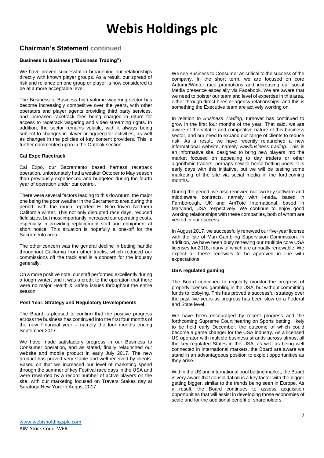## **Chairman's Statement continued**

#### **Business to Business ("Business Trading")**

We have proved successful in broadening our relationships directly with known player groups. As a result, our spread of risk and reliance on one group or player is now considered to be at a more acceptable level.

The Business to Business high volume wagering sector has become increasingly competitive over the years, with other operators and player agents providing third party services, and increased racetrack fees being charged in return for access to racetrack wagering and video streaming rights. In addition, the sector remains volatile, with it always being subject to changes in player or aggregator activities, as well as changes in the policies of key content providers. This is further commented upon in the Outlook section.

#### **Cal Expo Racetrack**

Cal Expo, our Sacramento based harness racetrack operation, unfortunately had a weaker October to May season than previously experienced and budgeted during the fourth year of operation under our control.

There were several factors leading to this downturn, the major one being the poor weather in the Sacramento area during the period, with the much reported El Niňo-driven Northern California winter. This not only disrupted race days, reduced field sizes, but most importantly increased our operating costs, especially in providing replacement staff and equipment at short notice. This situation is hopefully a one-off for the Sacramento area.

The other concern was the general decline in betting handle throughout California from other tracks, which reduced our commissions off the track and is a concern for the industry generally.

On a more positive note, our staff performed excellently during a tough winter, and it was a credit to the operation that there were no major Health & Safety issues throughout the entire season.

#### **Post Year, Strategy and Regulatory Developments**

The Board is pleased to confirm that the positive progress across the business has continued into the first four months of the new Financial year – namely the four months ending September 2017.

We have made satisfactory progress in our Business to Consumer operation, and as stated, finally relaunched our website and mobile product in early July 2017. The new product has proved very stable and well received by clients. Based on that we increased our level of marketing spend through the summer of key Festival race days in the USA and were rewarded by a record number of active players on the site, with our marketing focused on Travers Stakes day at Saratoga New York in August 2017.

We see Business to Consumer as critical to the success of the company. In the short term, we are focused on core Autumn/Winter race promotions and increasing our social Media presence especially via Facebook. We are aware that we need to bolster our team and level of expertise in this area, either through direct hires or agency relationships, and this is something the Executive team are actively working on.

In relation to *Business Trading*, turnover has continued to grow in the first four months of the year. That said, we are aware of the volatile and competitive nature of this business sector, and our need to expand our range of clients to reduce risk. As a result, we have recently relaunched a new informational website, namely *wawbusiness trading*. This is an informative site, designed to bring new players into the market focused on appealing to day traders or other algorithmic traders, perhaps new to horse betting pools. It is early days with this initiative, but we will be testing some marketing of the site via social media in the forthcoming months.

During the period, we also renewed our two key software and middleware contracts, namely with i-neda, based in Farnborough, UK and AmTote International, based in Maryland, USA respectively. We continue to enjoy good working relationships with these companies, both of whom are vested in our success.

In August 2017, we successfully renewed our five-year license with the Isle of Man Gambling Supervision Commission. In addition, we have been busy renewing our multiple core USA licenses for 2018, many of which are annually renewable. We expect all these renewals to be approved in line with expectations.

#### **USA regulated gaming**

The Board continued to regularly monitor the progress of properly licensed gambling in the USA, but without committing funds to lobbying. This has proved a successful strategy over the past five years as progress has been slow on a Federal and State level.

We have been encouraged by recent progress and the forthcoming Supreme Court hearing on Sports betting, likely to be held early December, the outcome of which could become a game changer for the USA industry. As a licensed US operator with multiple business strands across almost all the key regulated States in the USA, as well as being well connected in international markets, the Board are aware we stand in an advantageous position to exploit opportunities as they arise.

Within the US and international pool betting market, the Board is very aware that consolidation is a key factor with the bigger getting bigger, similar to the trends being seen in Europe. As a result, the Board continues to assess acquisition opportunities that will assist in developing those economies of scale and for the additional benefit of shareholders.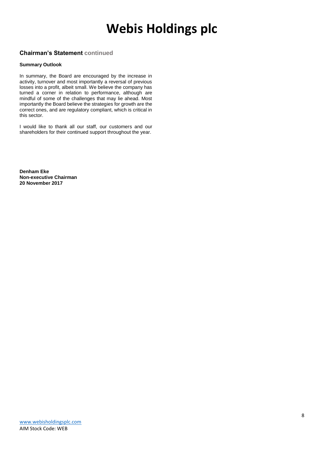### **Chairman's Statement continued**

#### **Summary Outlook**

In summary, the Board are encouraged by the increase in activity, turnover and most importantly a reversal of previous losses into a profit, albeit small. We believe the company has turned a corner in relation to performance, although are mindful of some of the challenges that may lie ahead. Most importantly the Board believe the strategies for growth are the correct ones, and are regulatory compliant, which is critical in this sector.

I would like to thank all our staff, our customers and our shareholders for their continued support throughout the year.

**Denham Eke Non-executive Chairman 20 November 2017**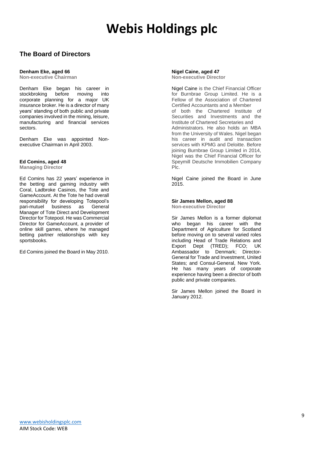### **The Board of Directors**

#### **Denham Eke, aged 66**

**Non-executive Chairman**

Denham Eke began his career in stockbroking before moving into corporate planning for a major UK insurance broker. He is a director of many years' standing of both public and private companies involved in the mining, leisure, manufacturing and financial services sectors.

Denham Eke was appointed Nonexecutive Chairman in April 2003.

### **Ed Comins, aged 48**

**Managing Director**

Ed Comins has 22 years' experience in the betting and gaming industry with Coral, Ladbroke Casinos, the Tote and GameAccount. At the Tote he had overall responsibility for developing Totepool's pari-mutuel business as General Manager of Tote Direct and Development Director for Totepool. He was Commercial Director for GameAccount, a provider of online skill games, where he managed betting partner relationships with key sportsbooks.

Ed Comins joined the Board in May 2010.

**Nigel Caine, aged 47 Non-executive Director**

Nigel Caine is the Chief Financial Officer for Burnbrae Group Limited. He is a Fellow of the Association of Chartered Certified Accountants and a Member of both the Chartered Institute of Securities and Investments and the Institute of Chartered Secretaries and Administrators. He also holds an MBA from the University of Wales. Nigel began his career in audit and transaction services with KPMG and Deloitte. Before joining Burnbrae Group Limited in 2014, Nigel was the Chief Financial Officer for Speymill Deutsche Immobilien Company Plc.

Nigel Caine joined the Board in June 2015.

### **Sir James Mellon, aged 88**

**Non-executive Director**

Sir James Mellon is a former diplomat who began his career with the Department of Agriculture for Scotland before moving on to several varied roles including Head of Trade Relations and Export Dept (TRED); FCO; UK Ambassador to Denmark; Director-General for Trade and Investment, United States; and Consul-General, New York. He has many years of corporate experience having been a director of both public and private companies.

Sir James Mellon joined the Board in January 2012.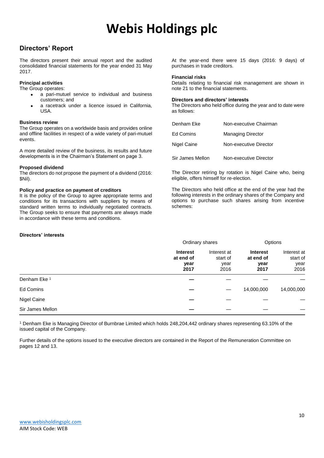### **Directors' Report**

The directors present their annual report and the audited consolidated financial statements for the year ended 31 May 2017.

#### **Principal activities**

The Group operates:

- a pari-mutuel service to individual and business customers; and
- a racetrack under a licence issued in California. USA.

#### **Business review**

The Group operates on a worldwide basis and provides online and offline facilities in respect of a wide variety of pari-mutuel events.

A more detailed review of the business, its results and future developments is in the Chairman's Statement on page 3.

#### **Proposed dividend**

The directors do not propose the payment of a dividend (2016: \$Nil).

#### **Policy and practice on payment of creditors**

It is the policy of the Group to agree appropriate terms and conditions for its transactions with suppliers by means of standard written terms to individually negotiated contracts. The Group seeks to ensure that payments are always made in accordance with these terms and conditions.

At the year-end there were 15 days (2016: 9 days) of purchases in trade creditors.

#### **Financial risks**

Details relating to financial risk management are shown in note 21 to the financial statements.

#### **Directors and directors' interests**

The Directors who held office during the year and to date were as follows:

| Denham Eke       | Non-executive Chairman   |
|------------------|--------------------------|
| Ed Comins        | <b>Managing Director</b> |
| Nigel Caine      | Non-executive Director   |
| Sir James Mellon | Non-executive Director   |

The Director retiring by rotation is Nigel Caine who, being eligible, offers himself for re-election.

The Directors who held office at the end of the year had the following interests in the ordinary shares of the Company and options to purchase such shares arising from incentive schemes:

#### **Directors' interests**

|                         |                                              | Ordinary shares                         |                                              | Options                                 |  |
|-------------------------|----------------------------------------------|-----------------------------------------|----------------------------------------------|-----------------------------------------|--|
|                         | <b>Interest</b><br>at end of<br>year<br>2017 | Interest at<br>start of<br>year<br>2016 | <b>Interest</b><br>at end of<br>year<br>2017 | Interest at<br>start of<br>year<br>2016 |  |
| Denham Eke <sup>1</sup> |                                              |                                         |                                              |                                         |  |
| Ed Comins               |                                              |                                         | 14,000,000                                   | 14,000,000                              |  |
| Nigel Caine             |                                              |                                         |                                              |                                         |  |
| Sir James Mellon        |                                              |                                         |                                              |                                         |  |

<sup>1</sup> Denham Eke is Managing Director of Burnbrae Limited which holds 248,204,442 ordinary shares representing 63.10% of the issued capital of the Company.

Further details of the options issued to the executive directors are contained in the Report of the Remuneration Committee on pages 12 and 13.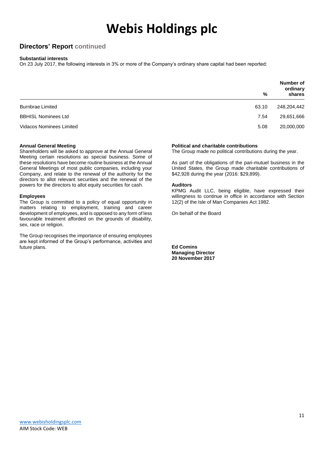### **Directors' Report continued**

#### **Substantial interests**

On 23 July 2017, the following interests in 3% or more of the Company's ordinary share capital had been reported:

|                                 | %     | Number of<br>ordinary<br>shares |
|---------------------------------|-------|---------------------------------|
| <b>Burnbrae Limited</b>         | 63.10 | 248,204,442                     |
| <b>BBHISL Nominees Ltd</b>      | 7.54  | 29,651,666                      |
| <b>Vidacos Nominees Limited</b> | 5.08  | 20,000,000                      |

#### **Annual General Meeting**

Shareholders will be asked to approve at the Annual General Meeting certain resolutions as special business. Some of these resolutions have become routine business at the Annual General Meetings of most public companies, including your Company, and relate to the renewal of the authority for the directors to allot relevant securities and the renewal of the powers for the directors to allot equity securities for cash.

#### **Employees**

The Group is committed to a policy of equal opportunity in matters relating to employment, training and career development of employees, and is opposed to any form of less favourable treatment afforded on the grounds of disability, sex, race or religion.

The Group recognises the importance of ensuring employees are kept informed of the Group's performance, activities and future plans.

#### **Political and charitable contributions**

The Group made no political contributions during the year.

As part of the obligations of the pari-mutuel business in the United States, the Group made charitable contributions of \$42,928 during the year (2016: \$29,899).

#### **Auditors**

KPMG Audit LLC, being eligible, have expressed their willingness to continue in office in accordance with Section 12(2) of the Isle of Man Companies Act 1982.

On behalf of the Board

**Ed Comins Managing Director 20 November 2017**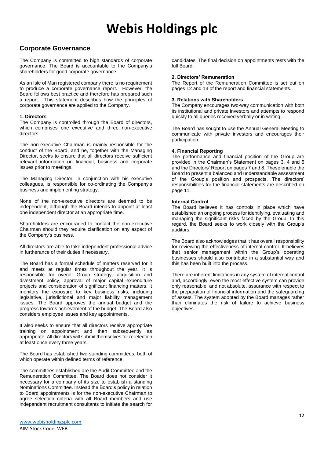### **Corporate Governance**

The Company is committed to high standards of corporate governance. The Board is accountable to the Company's shareholders for good corporate governance.

As an Isle of Man registered company there is no requirement to produce a corporate governance report. However, the Board follows best practice and therefore has prepared such a report. This statement describes how the principles of corporate governance are applied to the Company.

#### **1. Directors**

The Company is controlled through the Board of directors, which comprises one executive and three non-executive directors.

The non-executive Chairman is mainly responsible for the conduct of the Board, and he, together with the Managing Director, seeks to ensure that all directors receive sufficient relevant information on financial, business and corporate issues prior to meetings.

The Managing Director, in conjunction with his executive colleagues, is responsible for co-ordinating the Company's business and implementing strategy.

None of the non-executive directors are deemed to be independent, although the Board intends to appoint at least one independent director at an appropriate time.

Shareholders are encouraged to contact the non-executive Chairman should they require clarification on any aspect of the Company's business.

All directors are able to take independent professional advice in furtherance of their duties if necessary.

The Board has a formal schedule of matters reserved for it and meets at regular times throughout the year. It is responsible for overall Group strategy, acquisition and divestment policy, approval of major capital expenditure projects and consideration of significant financing matters. It monitors the exposure to key business risks, including legislative, jurisdictional and major liability management issues. The Board approves the annual budget and the progress towards achievement of the budget. The Board also considers employee issues and key appointments.

It also seeks to ensure that all directors receive appropriate training on appointment and then subsequently as appropriate. All directors will submit themselves for re-election at least once every three years.

The Board has established two standing committees, both of which operate within defined terms of reference.

The committees established are the Audit Committee and the Remuneration Committee. The Board does not consider it necessary for a company of its size to establish a standing Nominations Committee. Instead the Board's policy in relation to Board appointments is for the non-executive Chairman to agree selection criteria with all Board members and use independent recruitment consultants to initiate the search for

candidates. The final decision on appointments rests with the full Board.

#### **2. Directors' Remuneration**

The Report of the Remuneration Committee is set out on pages 12 and 13 of the report and financial statements.

#### **3. Relations with Shareholders**

The Company encourages two-way communication with both its institutional and private investors and attempts to respond quickly to all queries received verbally or in writing.

The Board has sought to use the Annual General Meeting to communicate with private investors and encourages their participation.

#### **4. Financial Reporting**

The performance and financial position of the Group are provided in the Chairman's Statement on pages 3, 4 and 5 and the Directors' Report on pages 7 and 8. These enable the Board to present a balanced and understandable assessment of the Group's position and prospects. The directors' responsibilities for the financial statements are described on page 11.

#### **Internal Control**

The Board believes it has controls in place which have established an ongoing process for identifying, evaluating and managing the significant risks faced by the Group. In this regard, the Board seeks to work closely with the Group's auditors.

The Board also acknowledges that it has overall responsibility for reviewing the effectiveness of internal control. It believes that senior management within the Group's operating businesses should also contribute in a substantial way and this has been built into the process.

There are inherent limitations in any system of internal control and, accordingly, even the most effective system can provide only reasonable, and not absolute, assurance with respect to the preparation of financial information and the safeguarding of assets. The system adopted by the Board manages rather than eliminates the risk of failure to achieve business objectives.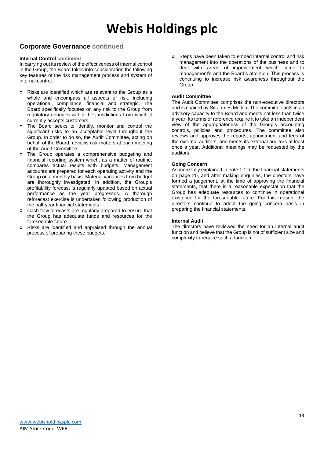### **Corporate Governance continued**

#### **Internal Control continued**

In carrying out its review of the effectiveness of internal control in the Group, the Board takes into consideration the following key features of the risk management process and system of internal control:

- **o** Risks are identified which are relevant to the Group as a whole and encompass all aspects of risk, including operational, compliance, financial and strategic. The Board specifically focuses on any risk to the Group from regulatory changes within the jurisdictions from which it currently accepts customers.
- **o** The Board seeks to identify, monitor and control the significant risks to an acceptable level throughout the Group. In order to do so, the Audit Committee, acting on behalf of the Board, reviews risk matters at each meeting of the Audit Committee.
- **o** The Group operates a comprehensive budgeting and financial reporting system which, as a matter of routine, compares actual results with budgets. Management accounts are prepared for each operating activity and the Group on a monthly basis. Material variances from budget are thoroughly investigated. In addition, the Group's profitability forecast is regularly updated based on actual performance as the year progresses. A thorough reforecast exercise is undertaken following production of the half-year financial statements.
- **o** Cash flow forecasts are regularly prepared to ensure that the Group has adequate funds and resources for the foreseeable future.
- **o** Risks are identified and appraised through the annual process of preparing these budgets.

**o** Steps have been taken to embed internal control and risk management into the operations of the business and to deal with areas of improvement which come to management's and the Board's attention. This process is continuing to increase risk awareness throughout the Group.

#### **Audit Committee**

The Audit Committee comprises the non-executive directors and is chaired by Sir James Mellon. The committee acts in an advisory capacity to the Board and meets not less than twice a year. Its terms of reference require it to take an independent view of the appropriateness of the Group's accounting controls, policies and procedures. The committee also reviews and approves the reports, appointment and fees of the external auditors, and meets its external auditors at least once a year. Additional meetings may be requested by the auditors.

#### **Going Concern**

As more fully explained in note 1.1 to the financial statements on page 20, and after making enquiries, the directors have formed a judgement, at the time of approving the financial statements, that there is a reasonable expectation that the Group has adequate resources to continue in operational existence for the foreseeable future. For this reason, the directors continue to adopt the going concern basis in preparing the financial statements.

#### **Internal Audit**

The directors have reviewed the need for an internal audit function and believe that the Group is not of sufficient size and complexity to require such a function.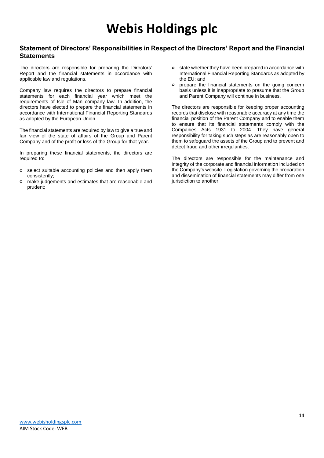### **Statement of Directors' Responsibilities in Respect of the Directors' Report and the Financial Statements**

The directors are responsible for preparing the Directors' Report and the financial statements in accordance with applicable law and regulations.

Company law requires the directors to prepare financial statements for each financial year which meet the requirements of Isle of Man company law. In addition, the directors have elected to prepare the financial statements in accordance with International Financial Reporting Standards as adopted by the European Union.

The financial statements are required by law to give a true and fair view of the state of affairs of the Group and Parent Company and of the profit or loss of the Group for that year.

In preparing these financial statements, the directors are required to:

- **o** select suitable accounting policies and then apply them consistently;
- **o** make judgements and estimates that are reasonable and prudent;
- **o** state whether they have been prepared in accordance with International Financial Reporting Standards as adopted by the EU; and
- **o** prepare the financial statements on the going concern basis unless it is inappropriate to presume that the Group and Parent Company will continue in business.

The directors are responsible for keeping proper accounting records that disclose with reasonable accuracy at any time the financial position of the Parent Company and to enable them to ensure that its financial statements comply with the Companies Acts 1931 to 2004. They have general responsibility for taking such steps as are reasonably open to them to safeguard the assets of the Group and to prevent and detect fraud and other irregularities.

The directors are responsible for the maintenance and integrity of the corporate and financial information included on the Company's website. Legislation governing the preparation and dissemination of financial statements may differ from one jurisdiction to another.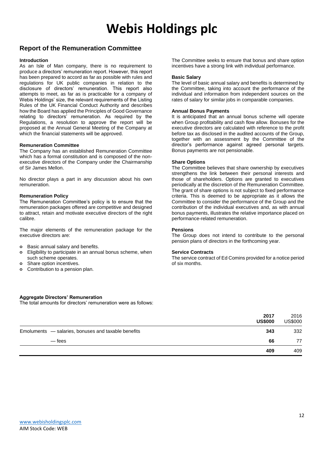### **Report of the Remuneration Committee**

#### **Introduction**

As an Isle of Man company, there is no requirement to produce a directors' remuneration report. However, this report has been prepared to accord as far as possible with rules and regulations for UK public companies in relation to the disclosure of directors' remuneration. This report also attempts to meet, as far as is practicable for a company of Webis Holdings' size, the relevant requirements of the Listing Rules of the UK Financial Conduct Authority and describes how the Board has applied the Principles of Good Governance relating to directors' remuneration. As required by the Regulations, a resolution to approve the report will be proposed at the Annual General Meeting of the Company at which the financial statements will be approved.

#### **Remuneration Committee**

The Company has an established Remuneration Committee which has a formal constitution and is composed of the nonexecutive directors of the Company under the Chairmanship of Sir James Mellon.

No director plays a part in any discussion about his own remuneration.

#### **Remuneration Policy**

The Remuneration Committee's policy is to ensure that the remuneration packages offered are competitive and designed to attract, retain and motivate executive directors of the right calibre.

The major elements of the remuneration package for the executive directors are:

- **o** Basic annual salary and benefits.
- **o** Eligibility to participate in an annual bonus scheme, when such scheme operates.
- **o** Share option incentives.
- **o** Contribution to a pension plan.

The Committee seeks to ensure that bonus and share option incentives have a strong link with individual performance.

#### **Basic Salary**

The level of basic annual salary and benefits is determined by the Committee, taking into account the performance of the individual and information from independent sources on the rates of salary for similar jobs in comparable companies.

#### **Annual Bonus Payments**

It is anticipated that an annual bonus scheme will operate when Group profitability and cash flow allow. Bonuses for the executive directors are calculated with reference to the profit before tax as disclosed in the audited accounts of the Group, together with an assessment by the Committee of the director's performance against agreed personal targets. Bonus payments are not pensionable.

#### **Share Options**

The Committee believes that share ownership by executives strengthens the link between their personal interests and those of shareholders. Options are granted to executives periodically at the discretion of the Remuneration Committee. The grant of share options is not subject to fixed performance criteria. This is deemed to be appropriate as it allows the Committee to consider the performance of the Group and the contribution of the individual executives and, as with annual bonus payments, illustrates the relative importance placed on performance-related remuneration.

#### **Pensions**

The Group does not intend to contribute to the personal pension plans of directors in the forthcoming year.

#### **Service Contracts**

The service contract of Ed Comins provided for a notice period of six months.

#### **Aggregate Directors' Remuneration**

The total amounts for directors' remuneration were as follows:

|                                                     | 2017<br><b>US\$000</b> | 2016<br><b>US\$000</b> |
|-----------------------------------------------------|------------------------|------------------------|
| Emoluments - salaries, bonuses and taxable benefits | 343                    | 332                    |
| — fees                                              | 66                     | 77                     |
|                                                     | 409                    | 409                    |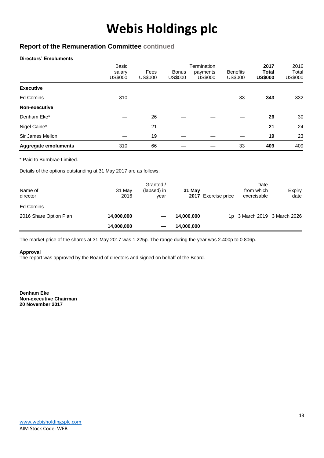## **Report of the Remuneration Committee continued**

#### **Directors' Emoluments**

|                             | Basic<br>salary<br><b>US\$000</b> | Fees<br><b>US\$000</b> | <b>Bonus</b><br>US\$000 | Termination<br>payments<br><b>US\$000</b> | <b>Benefits</b><br><b>US\$000</b> | 2017<br><b>Total</b><br><b>US\$000</b> | 2016<br>Total<br><b>US\$000</b> |
|-----------------------------|-----------------------------------|------------------------|-------------------------|-------------------------------------------|-----------------------------------|----------------------------------------|---------------------------------|
| <b>Executive</b>            |                                   |                        |                         |                                           |                                   |                                        |                                 |
| <b>Ed Comins</b>            | 310                               |                        |                         |                                           | 33                                | 343                                    | 332                             |
| Non-executive               |                                   |                        |                         |                                           |                                   |                                        |                                 |
| Denham Eke*                 |                                   | 26                     |                         |                                           |                                   | 26                                     | 30                              |
| Nigel Caine*                |                                   | 21                     |                         |                                           |                                   | 21                                     | 24                              |
| Sir James Mellon            |                                   | 19                     |                         |                                           |                                   | 19                                     | 23                              |
| <b>Aggregate emoluments</b> | 310                               | 66                     |                         |                                           | 33                                | 409                                    | 409                             |

\* Paid to Burnbrae Limited.

Details of the options outstanding at 31 May 2017 are as follows:

| Name of<br>director    | 31 May<br>2016 | Granted /<br>(lapsed) in<br>year | 31 May<br>2017 | Exercise price | Date<br>from which<br>exercisable | Expiry<br>date |
|------------------------|----------------|----------------------------------|----------------|----------------|-----------------------------------|----------------|
| Ed Comins              |                |                                  |                |                |                                   |                |
| 2016 Share Option Plan | 14,000,000     |                                  | 14,000,000     |                | 1p 3 March 2019 3 March 2026      |                |
|                        | 14,000,000     |                                  | 14,000,000     |                |                                   |                |

The market price of the shares at 31 May 2017 was 1.225p. The range during the year was 2.400p to 0.806p.

#### **Approval**

The report was approved by the Board of directors and signed on behalf of the Board.

**Denham Eke Non-executive Chairman 20 November 2017**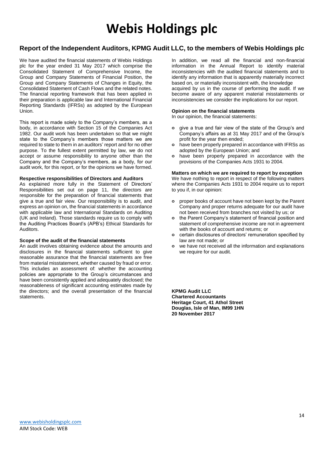### **Report of the Independent Auditors, KPMG Audit LLC, to the members of Webis Holdings plc**

We have audited the financial statements of Webis Holdings plc for the year ended 31 May 2017 which comprise the Consolidated Statement of Comprehensive Income, the Group and Company Statements of Financial Position, the Group and Company Statements of Changes in Equity, the Consolidated Statement of Cash Flows and the related notes. The financial reporting framework that has been applied in their preparation is applicable law and International Financial Reporting Standards (IFRSs) as adopted by the European Union.

This report is made solely to the Company's members, as a body, in accordance with Section 15 of the Companies Act 1982. Our audit work has been undertaken so that we might state to the Company's members those matters we are required to state to them in an auditors' report and for no other purpose. To the fullest extent permitted by law, we do not accept or assume responsibility to anyone other than the Company and the Company's members, as a body, for our audit work, for this report, or for the opinions we have formed.

#### **Respective responsibilities of Directors and Auditors**

As explained more fully in the Statement of Directors' Responsibilities set out on page 11, the directors are responsible for the preparation of financial statements that give a true and fair view. Our responsibility is to audit, and express an opinion on, the financial statements in accordance with applicable law and International Standards on Auditing (UK and Ireland). Those standards require us to comply with the Auditing Practices Board's (APB's) Ethical Standards for Auditors.

#### **Scope of the audit of the financial statements**

An audit involves obtaining evidence about the amounts and disclosures in the financial statements sufficient to give reasonable assurance that the financial statements are free from material misstatement, whether caused by fraud or error. This includes an assessment of: whether the accounting policies are appropriate to the Group's circumstances and have been consistently applied and adequately disclosed; the reasonableness of significant accounting estimates made by the directors; and the overall presentation of the financial statements.

In addition, we read all the financial and non-financial information in the Annual Report to identify material inconsistencies with the audited financial statements and to identify any information that is apparently materially incorrect based on, or materially inconsistent with, the knowledge acquired by us in the course of performing the audit. If we become aware of any apparent material misstatements or inconsistencies we consider the implications for our report.

#### **Opinion on the financial statements**

In our opinion, the financial statements:

- **o** give a true and fair view of the state of the Group's and Company's affairs as at 31 May 2017 and of the Group's profit for the year then ended;
- **o** have been properly prepared in accordance with IFRSs as adopted by the European Union; and
- **o** have been properly prepared in accordance with the provisions of the Companies Acts 1931 to 2004.

#### **Matters on which we are required to report by exception**

We have nothing to report in respect of the following matters where the Companies Acts 1931 to 2004 require us to report to you if, in our opinion:

- **o** proper books of account have not been kept by the Parent Company and proper returns adequate for our audit have not been received from branches not visited by us; or
- **o** the Parent Company's statement of financial position and statement of comprehensive income are not in agreement with the books of account and returns; or
- **o** certain disclosures of directors' remuneration specified by law are not made; or
- **o** we have not received all the information and explanations we require for our audit.

**KPMG Audit LLC Chartered Accountants Heritage Court, 41 Athol Street Douglas, Isle of Man, IM99 1HN 20 November 2017**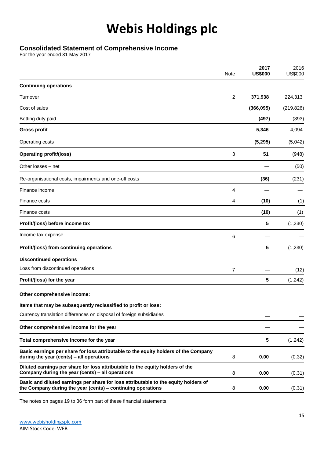### **Consolidated Statement of Comprehensive Income**

For the year ended 31 May 2017

|                                                                                                                                                    | Note | 2017<br><b>US\$000</b> | 2016<br><b>US\$000</b> |
|----------------------------------------------------------------------------------------------------------------------------------------------------|------|------------------------|------------------------|
| <b>Continuing operations</b>                                                                                                                       |      |                        |                        |
| Turnover                                                                                                                                           | 2    | 371,938                | 224,313                |
| Cost of sales                                                                                                                                      |      | (366,095)              | (219, 826)             |
| Betting duty paid                                                                                                                                  |      | (497)                  | (393)                  |
| <b>Gross profit</b>                                                                                                                                |      | 5,346                  | 4,094                  |
| Operating costs                                                                                                                                    |      | (5, 295)               | (5,042)                |
| <b>Operating profit/(loss)</b>                                                                                                                     | 3    | 51                     | (948)                  |
| Other losses - net                                                                                                                                 |      |                        | (50)                   |
| Re-organisational costs, impairments and one-off costs                                                                                             |      | (36)                   | (231)                  |
| Finance income                                                                                                                                     | 4    |                        |                        |
| Finance costs                                                                                                                                      | 4    | (10)                   | (1)                    |
| Finance costs                                                                                                                                      |      | (10)                   | (1)                    |
| Profit/(loss) before income tax                                                                                                                    |      | 5                      | (1, 230)               |
| Income tax expense                                                                                                                                 | 6    |                        |                        |
| Profit/(loss) from continuing operations                                                                                                           |      | 5                      | (1, 230)               |
| <b>Discontinued operations</b>                                                                                                                     |      |                        |                        |
| Loss from discontinued operations                                                                                                                  | 7    |                        | (12)                   |
| Profit/(loss) for the year                                                                                                                         |      | 5                      | (1, 242)               |
| Other comprehensive income:                                                                                                                        |      |                        |                        |
| Items that may be subsequently reclassified to profit or loss:                                                                                     |      |                        |                        |
| Currency translation differences on disposal of foreign subsidiaries                                                                               |      |                        |                        |
| Other comprehensive income for the year                                                                                                            |      |                        |                        |
| Total comprehensive income for the year                                                                                                            |      | 5                      | (1,242)                |
| Basic earnings per share for loss attributable to the equity holders of the Company<br>during the year (cents) - all operations                    | 8    | 0.00                   | (0.32)                 |
| Diluted earnings per share for loss attributable to the equity holders of the<br>Company during the year (cents) - all operations                  | 8    | 0.00                   | (0.31)                 |
| Basic and diluted earnings per share for loss attributable to the equity holders of<br>the Company during the year (cents) - continuing operations | 8    | 0.00                   | (0.31)                 |
|                                                                                                                                                    |      |                        |                        |

The notes on pages 19 to 36 form part of these financial statements.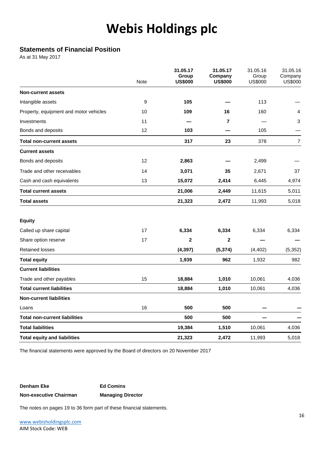## **Statements of Financial Position**

As at 31 May 2017

|                                        | Note              | 31.05.17<br>Group<br><b>US\$000</b> | 31.05.17<br>Company<br><b>US\$000</b> | 31.05.16<br>Group<br><b>US\$000</b> | 31.05.16<br>Company<br><b>US\$000</b> |
|----------------------------------------|-------------------|-------------------------------------|---------------------------------------|-------------------------------------|---------------------------------------|
| <b>Non-current assets</b>              |                   |                                     |                                       |                                     |                                       |
| Intangible assets                      | 9                 | 105                                 |                                       | 113                                 |                                       |
| Property, equipment and motor vehicles | 10                | 109                                 | 16                                    | 160                                 | 4                                     |
| Investments                            | 11                |                                     | $\overline{7}$                        |                                     | 3                                     |
| Bonds and deposits                     | 12                | 103                                 |                                       | 105                                 |                                       |
| <b>Total non-current assets</b>        |                   | 317                                 | 23                                    | 378                                 | $\boldsymbol{7}$                      |
| <b>Current assets</b>                  |                   |                                     |                                       |                                     |                                       |
| Bonds and deposits                     | $12 \overline{ }$ | 2,863                               |                                       | 2,499                               |                                       |
| Trade and other receivables            | 14                | 3,071                               | 35                                    | 2,671                               | 37                                    |
| Cash and cash equivalents              | 13                | 15,072                              | 2,414                                 | 6,445                               | 4,974                                 |
| <b>Total current assets</b>            |                   | 21,006                              | 2,449                                 | 11,615                              | 5,011                                 |
| <b>Total assets</b>                    |                   | 21,323                              | 2,472                                 | 11,993                              | 5,018                                 |
| <b>Equity</b>                          |                   |                                     |                                       |                                     |                                       |
| Called up share capital                | 17                | 6,334                               | 6,334                                 | 6,334                               | 6,334                                 |
| Share option reserve                   | 17                | $\mathbf{2}$                        | $\mathbf{2}$                          |                                     |                                       |
| <b>Retained losses</b>                 |                   | (4, 397)                            | (5, 374)                              | (4, 402)                            | (5, 352)                              |
| <b>Total equity</b>                    |                   | 1,939                               | 962                                   | 1,932                               | 982                                   |
| <b>Current liabilities</b>             |                   |                                     |                                       |                                     |                                       |
| Trade and other payables               | 15                | 18,884                              | 1,010                                 | 10,061                              | 4,036                                 |
| <b>Total current liabilities</b>       |                   | 18,884                              | 1,010                                 | 10,061                              | 4,036                                 |
| <b>Non-current liabilities</b>         |                   |                                     |                                       |                                     |                                       |
| Loans                                  | 16                | 500                                 | 500                                   |                                     |                                       |
| <b>Total non-current liabilities</b>   |                   | 500                                 | 500                                   |                                     |                                       |
| <b>Total liabilities</b>               |                   | 19,384                              | 1,510                                 | 10,061                              | 4,036                                 |
| <b>Total equity and liabilities</b>    |                   | 21,323                              | 2,472                                 | 11,993                              | 5,018                                 |

The financial statements were approved by the Board of directors on 20 November 2017

**Denham Eke Ed Comins**

**Non-executive Chairman Managing Director**

The notes on pages 19 to 36 form part of these financial statements.

[www.webisholdingsplc.com](http://www.webisholdingsplc.com/) AIM Stock Code: WEB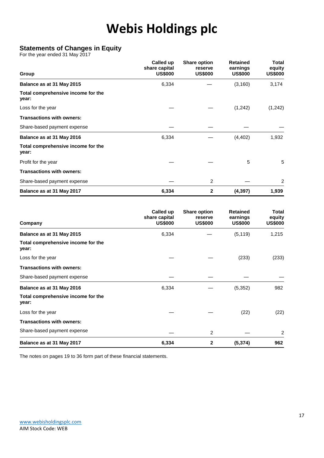### **Statements of Changes in Equity**

For the year ended 31 May 2017

| Group                                       | Called up<br>share capital<br><b>US\$000</b> | <b>Share option</b><br>reserve<br><b>US\$000</b> | <b>Retained</b><br>earnings<br><b>US\$000</b> | <b>Total</b><br>equity<br><b>US\$000</b> |
|---------------------------------------------|----------------------------------------------|--------------------------------------------------|-----------------------------------------------|------------------------------------------|
| Balance as at 31 May 2015                   | 6,334                                        |                                                  | (3, 160)                                      | 3,174                                    |
| Total comprehensive income for the<br>year: |                                              |                                                  |                                               |                                          |
| Loss for the year                           |                                              |                                                  | (1,242)                                       | (1, 242)                                 |
| <b>Transactions with owners:</b>            |                                              |                                                  |                                               |                                          |
| Share-based payment expense                 |                                              |                                                  |                                               |                                          |
| Balance as at 31 May 2016                   | 6,334                                        |                                                  | (4, 402)                                      | 1,932                                    |
| Total comprehensive income for the<br>year: |                                              |                                                  |                                               |                                          |
| Profit for the year                         |                                              |                                                  | 5                                             | 5                                        |
| <b>Transactions with owners:</b>            |                                              |                                                  |                                               |                                          |
| Share-based payment expense                 |                                              | 2                                                |                                               | 2                                        |
| Balance as at 31 May 2017                   | 6,334                                        | 2                                                | (4, 397)                                      | 1,939                                    |

| Company                                     | Called up<br>share capital<br><b>US\$000</b> | <b>Share option</b><br>reserve<br><b>US\$000</b> | <b>Retained</b><br>earnings<br><b>US\$000</b> | <b>Total</b><br>equity<br><b>US\$000</b> |
|---------------------------------------------|----------------------------------------------|--------------------------------------------------|-----------------------------------------------|------------------------------------------|
| Balance as at 31 May 2015                   | 6,334                                        |                                                  | (5, 119)                                      | 1,215                                    |
| Total comprehensive income for the<br>year: |                                              |                                                  |                                               |                                          |
| Loss for the year                           |                                              |                                                  | (233)                                         | (233)                                    |
| <b>Transactions with owners:</b>            |                                              |                                                  |                                               |                                          |
| Share-based payment expense                 |                                              |                                                  |                                               |                                          |
| Balance as at 31 May 2016                   | 6,334                                        |                                                  | (5, 352)                                      | 982                                      |
| Total comprehensive income for the<br>year: |                                              |                                                  |                                               |                                          |
| Loss for the year                           |                                              |                                                  | (22)                                          | (22)                                     |
| <b>Transactions with owners:</b>            |                                              |                                                  |                                               |                                          |
| Share-based payment expense                 |                                              | $\overline{c}$                                   |                                               | 2                                        |
| Balance as at 31 May 2017                   | 6,334                                        | 2                                                | (5, 374)                                      | 962                                      |

The notes on pages 19 to 36 form part of these financial statements.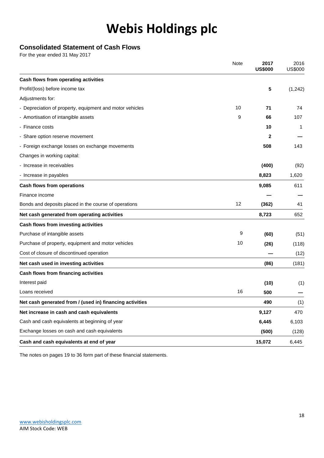## **Consolidated Statement of Cash Flows**

For the year ended 31 May 2017

|                                                          | Note | 2017<br><b>US\$000</b> | 2016<br><b>US\$000</b> |
|----------------------------------------------------------|------|------------------------|------------------------|
| Cash flows from operating activities                     |      |                        |                        |
| Profit/(loss) before income tax                          |      | 5                      | (1,242)                |
| Adjustments for:                                         |      |                        |                        |
| - Depreciation of property, equipment and motor vehicles | 10   | 71                     | 74                     |
| - Amortisation of intangible assets                      | 9    | 66                     | 107                    |
| - Finance costs                                          |      | 10                     | 1                      |
| - Share option reserve movement                          |      | $\mathbf{2}$           |                        |
| - Foreign exchange losses on exchange movements          |      | 508                    | 143                    |
| Changes in working capital:                              |      |                        |                        |
| - Increase in receivables                                |      | (400)                  | (92)                   |
| - Increase in payables                                   |      | 8,823                  | 1,620                  |
| <b>Cash flows from operations</b>                        |      | 9,085                  | 611                    |
| Finance income                                           |      |                        |                        |
| Bonds and deposits placed in the course of operations    | 12   | (362)                  | 41                     |
| Net cash generated from operating activities             |      | 8,723                  | 652                    |
| Cash flows from investing activities                     |      |                        |                        |
| Purchase of intangible assets                            | 9    | (60)                   | (51)                   |
| Purchase of property, equipment and motor vehicles       | 10   | (26)                   | (118)                  |
| Cost of closure of discontinued operation                |      |                        | (12)                   |
| Net cash used in investing activities                    |      | (86)                   | (181)                  |
| Cash flows from financing activities                     |      |                        |                        |
| Interest paid                                            |      | (10)                   | (1)                    |
| Loans received                                           | 16   | 500                    |                        |
| Net cash generated from / (used in) financing activities |      | 490                    | (1)                    |
| Net increase in cash and cash equivalents                |      | 9,127                  | 470                    |
| Cash and cash equivalents at beginning of year           |      | 6,445                  | 6,103                  |
| Exchange losses on cash and cash equivalents             |      | (500)                  | (128)                  |
| Cash and cash equivalents at end of year                 |      | 15,072                 | 6,445                  |

The notes on pages 19 to 36 form part of these financial statements.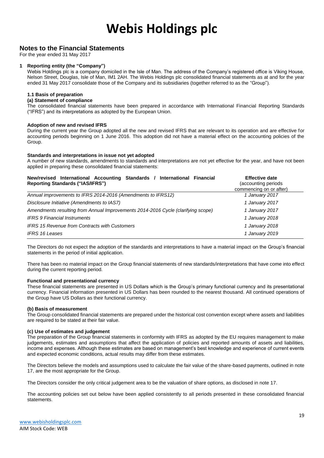### **Notes to the Financial Statements**

For the year ended 31 May 2017

#### **1 Reporting entity (the "Company")**

Webis Holdings plc is a company domiciled in the Isle of Man. The address of the Company's registered office is Viking House, Nelson Street, Douglas, Isle of Man, IM1 2AH. The Webis Holdings plc consolidated financial statements as at and for the year ended 31 May 2017 consolidate those of the Company and its subsidiaries (together referred to as the "Group").

#### **1.1 Basis of preparation**

#### **(a) Statement of compliance**

The consolidated financial statements have been prepared in accordance with International Financial Reporting Standards ("IFRS") and its interpretations as adopted by the European Union.

#### **Adoption of new and revised IFRS**

During the current year the Group adopted all the new and revised IFRS that are relevant to its operation and are effective for accounting periods beginning on 1 June 2016. This adoption did not have a material effect on the accounting policies of the Group.

#### **Standards and interpretations in issue not yet adopted**

A number of new standards, amendments to standards and interpretations are not yet effective for the year, and have not been applied in preparing these consolidated financial statements:

| New/revised International Accounting Standards / International Financial<br><b>Reporting Standards ("IAS/IFRS")</b> | <b>Effective date</b><br>(accounting periods<br>commencing on or after) |
|---------------------------------------------------------------------------------------------------------------------|-------------------------------------------------------------------------|
| Annual improvements to IFRS 2014-2016 (Amendments to IFRS12)                                                        | 1 January 2017                                                          |
| Disclosure Initiative (Amendments to IAS7)                                                                          | 1 January 2017                                                          |
| Amendments resulting from Annual Improvements 2014-2016 Cycle (clarifying scope)                                    | 1 January 2017                                                          |
| <b>IFRS 9 Financial Instruments</b>                                                                                 | 1 January 2018                                                          |
| <b>IFRS 15 Revenue from Contracts with Customers</b>                                                                | 1 January 2018                                                          |
| <b>IFRS 16 Leases</b>                                                                                               | 1 January 2019                                                          |

The Directors do not expect the adoption of the standards and interpretations to have a material impact on the Group's financial statements in the period of initial application.

There has been no material impact on the Group financial statements of new standards/interpretations that have come into effect during the current reporting period.

#### **Functional and presentational currency**

These financial statements are presented in US Dollars which is the Group's primary functional currency and its presentational currency. Financial information presented in US Dollars has been rounded to the nearest thousand. All continued operations of the Group have US Dollars as their functional currency.

#### **(b) Basis of measurement**

The Group consolidated financial statements are prepared under the historical cost convention except where assets and liabilities are required to be stated at their fair value.

#### **(c) Use of estimates and judgement**

The preparation of the Group financial statements in conformity with IFRS as adopted by the EU requires management to make judgements, estimates and assumptions that affect the application of policies and reported amounts of assets and liabilities, income and expenses. Although these estimates are based on management's best knowledge and experience of current events and expected economic conditions, actual results may differ from these estimates.

The Directors believe the models and assumptions used to calculate the fair value of the share-based payments, outlined in note 17, are the most appropriate for the Group.

The Directors consider the only critical judgement area to be the valuation of share options, as disclosed in note 17.

The accounting policies set out below have been applied consistently to all periods presented in these consolidated financial **statements**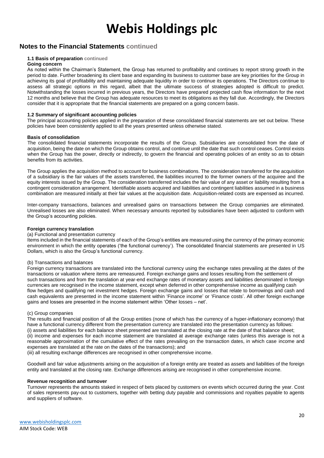### **Notes to the Financial Statements continued**

#### **1.1 Basis of preparation continued**

#### **Going concern**

As noted within the Chairman's Statement, the Group has returned to profitability and continues to report strong growth in the period to date. Further broadening its client base and expanding its business to customer base are key priorities for the Group in achieving its goal of profitability and maintaining adequate liquidity in order to continue its operations. The Directors continue to assess all strategic options in this regard, albeit that the ultimate success of strategies adopted is difficult to predict. Notwithstanding the losses incurred in previous years, the Directors have prepared projected cash flow information for the next 12 months and believe that the Group has adequate resources to meet its obligations as they fall due. Accordingly, the Directors consider that it is appropriate that the financial statements are prepared on a going concern basis.

#### **1.2 Summary of significant accounting policies**

The principal accounting policies applied in the preparation of these consolidated financial statements are set out below. These policies have been consistently applied to all the years presented unless otherwise stated.

#### **Basis of consolidation**

The consolidated financial statements incorporate the results of the Group. Subsidiaries are consolidated from the date of acquisition, being the date on which the Group obtains control, and continue until the date that such control ceases. Control exists when the Group has the power, directly or indirectly, to govern the financial and operating policies of an entity so as to obtain benefits from its activities.

The Group applies the acquisition method to account for business combinations. The consideration transferred for the acquisition of a subsidiary is the fair values of the assets transferred, the liabilities incurred to the former owners of the acquiree and the equity interests issued by the Group. The consideration transferred includes the fair value of any asset or liability resulting from a contingent consideration arrangement. Identifiable assets acquired and liabilities and contingent liabilities assumed in a business combination are measured initially at their fair values at the acquisition date. Acquisition-related costs are expensed as incurred.

Inter-company transactions, balances and unrealised gains on transactions between the Group companies are eliminated. Unrealised losses are also eliminated. When necessary amounts reported by subsidiaries have been adjusted to conform with the Group's accounting policies.

#### **Foreign currency translation**

#### (a) Functional and presentation currency

Items included in the financial statements of each of the Group's entities are measured using the currency of the primary economic environment in which the entity operates ('the functional currency'). The consolidated financial statements are presented in US Dollars, which is also the Group's functional currency.

#### (b) Transactions and balances

Foreign currency transactions are translated into the functional currency using the exchange rates prevailing at the dates of the transactions or valuation where items are remeasured. Foreign exchange gains and losses resulting from the settlement of such transactions and from the translation at year-end exchange rates of monetary assets and liabilities denominated in foreign currencies are recognised in the income statement, except when deferred in other comprehensive income as qualifying cash flow hedges and qualifying net investment hedges. Foreign exchange gains and losses that relate to borrowings and cash and cash equivalents are presented in the income statement within 'Finance income' or 'Finance costs'. All other foreign exchange gains and losses are presented in the income statement within 'Other losses – net'.

#### (c) Group companies

The results and financial position of all the Group entities (none of which has the currency of a hyper-inflationary economy) that have a functional currency different from the presentation currency are translated into the presentation currency as follows: (i) assets and liabilities for each balance sheet presented are translated at the closing rate at the date of that balance sheet; (ii) income and expenses for each income statement are translated at average exchange rates (unless this average is not a reasonable approximation of the cumulative effect of the rates prevailing on the transaction dates, in which case income and expenses are translated at the rate on the dates of the transactions); and

(iii) all resulting exchange differences are recognised in other comprehensive income.

Goodwill and fair value adjustments arising on the acquisition of a foreign entity are treated as assets and liabilities of the foreign entity and translated at the closing rate. Exchange differences arising are recognised in other comprehensive income.

#### **Revenue recognition and turnover**

Turnover represents the amounts staked in respect of bets placed by customers on events which occurred during the year. Cost of sales represents pay-out to customers, together with betting duty payable and commissions and royalties payable to agents and suppliers of software.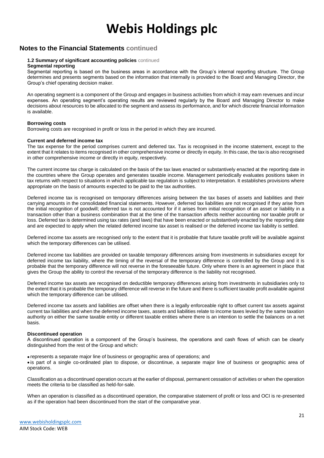### **Notes to the Financial Statements continued**

#### **1.2 Summary of significant accounting policies** continued **Segmental reporting**

Segmental reporting is based on the business areas in accordance with the Group's internal reporting structure. The Group determines and presents segments based on the information that internally is provided to the Board and Managing Director, the Group's chief operating decision maker.

An operating segment is a component of the Group and engages in business activities from which it may earn revenues and incur expenses. An operating segment's operating results are reviewed regularly by the Board and Managing Director to make decisions about resources to be allocated to the segment and assess its performance, and for which discrete financial information is available.

#### **Borrowing costs**

Borrowing costs are recognised in profit or loss in the period in which they are incurred.

#### **Current and deferred income tax**

The tax expense for the period comprises current and deferred tax. Tax is recognised in the income statement, except to the extent that it relates to items recognised in other comprehensive income or directly in equity. In this case, the tax is also recognised in other comprehensive income or directly in equity, respectively.

The current income tax charge is calculated on the basis of the tax laws enacted or substantively enacted at the reporting date in the countries where the Group operates and generates taxable income. Management periodically evaluates positions taken in tax returns with respect to situations in which applicable tax regulation is subject to interpretation. It establishes provisions where appropriate on the basis of amounts expected to be paid to the tax authorities.

Deferred income tax is recognised on temporary differences arising between the tax bases of assets and liabilities and their carrying amounts in the consolidated financial statements. However, deferred tax liabilities are not recognised if they arise from the initial recognition of goodwill; deferred tax is not accounted for if it arises from initial recognition of an asset or liability in a transaction other than a business combination that at the time of the transaction affects neither accounting nor taxable profit or loss. Deferred tax is determined using tax rates (and laws) that have been enacted or substantively enacted by the reporting date and are expected to apply when the related deferred income tax asset is realised or the deferred income tax liability is settled.

Deferred income tax assets are recognised only to the extent that it is probable that future taxable profit will be available against which the temporary differences can be utilised.

Deferred income tax liabilities are provided on taxable temporary differences arising from investments in subsidiaries except for deferred income tax liability, where the timing of the reversal of the temporary difference is controlled by the Group and it is probable that the temporary difference will not reverse in the foreseeable future. Only where there is an agreement in place that gives the Group the ability to control the reversal of the temporary difference is the liability not recognised.

Deferred income tax assets are recognised on deductible temporary differences arising from investments in subsidiaries only to the extent that it is probable the temporary difference will reverse in the future and there is sufficient taxable profit available against which the temporary difference can be utilised.

Deferred income tax assets and liabilities are offset when there is a legally enforceable right to offset current tax assets against current tax liabilities and when the deferred income taxes, assets and liabilities relate to income taxes levied by the same taxation authority on either the same taxable entity or different taxable entities where there is an intention to settle the balances on a net basis.

#### **Discontinued operation**

A discontinued operation is a component of the Group's business, the operations and cash flows of which can be clearly distinguished from the rest of the Group and which:

• represents a separate major line of business or geographic area of operations; and

• is part of a single co-ordinated plan to dispose, or discontinue, a separate major line of business or geographic area of operations.

Classification as a discontinued operation occurs at the earlier of disposal, permanent cessation of activities or when the operation meets the criteria to be classified as held-for-sale.

When an operation is classified as a discontinued operation, the comparative statement of profit or loss and OCI is re-presented as if the operation had been discontinued from the start of the comparative year.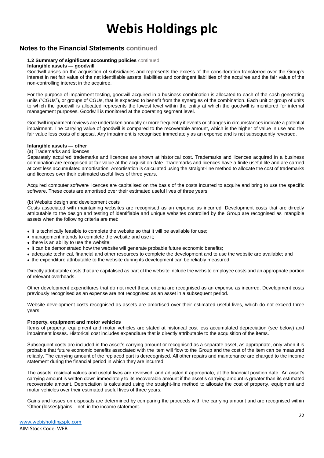### **Notes to the Financial Statements continued**

#### **1.2 Summary of significant accounting policies** continued

#### **Intangible assets — goodwill**

Goodwill arises on the acquisition of subsidiaries and represents the excess of the consideration transferred over the Group's interest in net fair value of the net identifiable assets, liabilities and contingent liabilities of the acquiree and the fair value of the non-controlling interest in the acquiree.

For the purpose of impairment testing, goodwill acquired in a business combination is allocated to each of the cash-generating units ("CGUs"), or groups of CGUs, that is expected to benefit from the synergies of the combination. Each unit or group of units to which the goodwill is allocated represents the lowest level within the entity at which the goodwill is monitored for internal management purposes. Goodwill is monitored at the operating segment level.

Goodwill impairment reviews are undertaken annually or more frequently if events or changes in circumstances indicate a potential impairment. The carrying value of goodwill is compared to the recoverable amount, which is the higher of value in use and the fair value less costs of disposal. Any impairment is recognised immediately as an expense and is not subsequently reversed.

#### **Intangible assets — other**

#### (a) Trademarks and licences

Separately acquired trademarks and licences are shown at historical cost. Trademarks and licences acquired in a business combination are recognised at fair value at the acquisition date. Trademarks and licences have a finite useful life and are carried at cost less accumulated amortisation. Amortisation is calculated using the straight-line method to allocate the cost of trademarks and licences over their estimated useful lives of three years.

Acquired computer software licences are capitalised on the basis of the costs incurred to acquire and bring to use the specific software. These costs are amortised over their estimated useful lives of three years.

#### (b) Website design and development costs

Costs associated with maintaining websites are recognised as an expense as incurred. Development costs that are directly attributable to the design and testing of identifiable and unique websites controlled by the Group are recognised as intangible assets when the following criteria are met:

- it is technically feasible to complete the website so that it will be available for use;
- management intends to complete the website and use it;
- there is an ability to use the website;
- it can be demonstrated how the website will generate probable future economic benefits;
- adequate technical, financial and other resources to complete the development and to use the website are available; and
- the expenditure attributable to the website during its development can be reliably measured.

Directly attributable costs that are capitalised as part of the website include the website employee costs and an appropriate portion of relevant overheads.

Other development expenditures that do not meet these criteria are recognised as an expense as incurred. Development costs previously recognised as an expense are not recognised as an asset in a subsequent period.

Website development costs recognised as assets are amortised over their estimated useful lives, which do not exceed three years.

#### **Property, equipment and motor vehicles**

Items of property, equipment and motor vehicles are stated at historical cost less accumulated depreciation (see below) and impairment losses. Historical cost includes expenditure that is directly attributable to the acquisition of the items.

Subsequent costs are included in the asset's carrying amount or recognised as a separate asset, as appropriate, only when it is probable that future economic benefits associated with the item will flow to the Group and the cost of the item can be measured reliably. The carrying amount of the replaced part is derecognised. All other repairs and maintenance are charged to the income statement during the financial period in which they are incurred.

The assets' residual values and useful lives are reviewed, and adjusted if appropriate, at the financial position date. An asset's carrying amount is written down immediately to its recoverable amount if the asset's carrying amount is greater than its estimated recoverable amount. Depreciation is calculated using the straight-line method to allocate the cost of property, equipment and motor vehicles over their estimated useful lives of three years.

Gains and losses on disposals are determined by comparing the proceeds with the carrying amount and are recognised within 'Other (losses)/gains – net' in the income statement.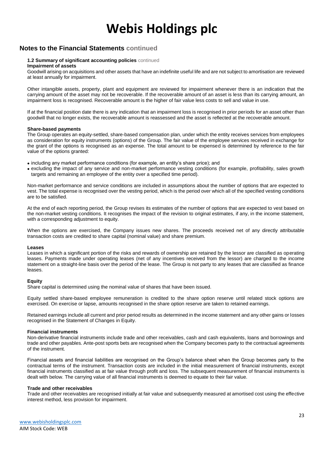### **Notes to the Financial Statements continued**

#### **1.2 Summary of significant accounting policies** continued **Impairment of assets**

Goodwill arising on acquisitions and other assets that have an indefinite useful life and are not subject to amortisation are reviewed at least annually for impairment.

Other intangible assets, property, plant and equipment are reviewed for impairment whenever there is an indication that the carrying amount of the asset may not be recoverable. If the recoverable amount of an asset is less than its carrying amount, an impairment loss is recognised. Recoverable amount is the higher of fair value less costs to sell and value in use.

If at the financial position date there is any indication that an impairment loss is recognised in prior periods for an asset other than goodwill that no longer exists, the recoverable amount is reassessed and the asset is reflected at the recoverable amount.

#### **Share-based payments**

The Group operates an equity-settled, share-based compensation plan, under which the entity receives services from employees as consideration for equity instruments (options) of the Group. The fair value of the employee services received in exchange for the grant of the options is recognised as an expense. The total amount to be expensed is determined by reference to the fair value of the options granted:

- including any market performance conditions (for example, an entity's share price); and
- excluding the impact of any service and non-market performance vesting conditions (for example, profitability, sales growth targets and remaining an employee of the entity over a specified time period).

Non-market performance and service conditions are included in assumptions about the number of options that are expected to vest. The total expense is recognised over the vesting period, which is the period over which all of the specified vesting conditions are to be satisfied.

At the end of each reporting period, the Group revises its estimates of the number of options that are expected to vest based on the non-market vesting conditions. It recognises the impact of the revision to original estimates, if any, in the income statement, with a corresponding adjustment to equity.

When the options are exercised, the Company issues new shares. The proceeds received net of any directly attributable transaction costs are credited to share capital (nominal value) and share premium.

#### **Leases**

Leases in which a significant portion of the risks and rewards of ownership are retained by the lessor are classified as operating leases. Payments made under operating leases (net of any incentives received from the lessor) are charged to the income statement on a straight-line basis over the period of the lease. The Group is not party to any leases that are classified as finance leases.

#### **Equity**

Share capital is determined using the nominal value of shares that have been issued.

Equity settled share-based employee remuneration is credited to the share option reserve until related stock options are exercised. On exercise or lapse, amounts recognised in the share option reserve are taken to retained earnings.

Retained earnings include all current and prior period results as determined in the income statement and any other gains or losses recognised in the Statement of Changes in Equity.

#### **Financial instruments**

Non-derivative financial instruments include trade and other receivables, cash and cash equivalents, loans and borrowings and trade and other payables. Ante-post sports bets are recognised when the Company becomes party to the contractual agreements of the instrument.

Financial assets and financial liabilities are recognised on the Group's balance sheet when the Group becomes party to the contractual terms of the instrument. Transaction costs are included in the initial measurement of financial instruments, except financial instruments classified as at fair value through profit and loss. The subsequent measurement of financial instruments is dealt with below. The carrying value of all financial instruments is deemed to equate to their fair value.

#### **Trade and other receivables**

Trade and other receivables are recognised initially at fair value and subsequently measured at amortised cost using the effective interest method, less provision for impairment.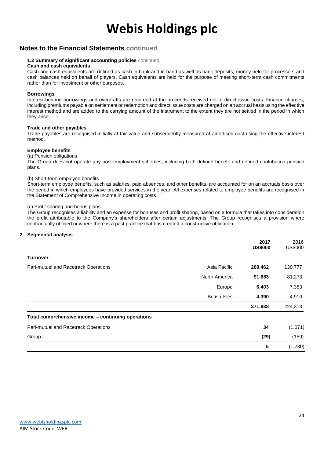### **Notes to the Financial Statements continued**

#### **1.2 Summary of significant accounting policies** continued

#### **Cash and cash equivalents**

Cash and cash equivalents are defined as cash in bank and in hand as well as bank deposits, money held for processors and cash balances held on behalf of players. Cash equivalents are held for the purpose of meeting short-term cash commitments rather than for investment or other purposes.

#### **Borrowings**

Interest-bearing borrowings and overdrafts are recorded at the proceeds received net of direct issue costs. Finance charges, including premiums payable on settlement or redemption and direct issue costs are charged on an accrual basis using the effective interest method and are added to the carrying amount of the instrument to the extent they are not settled in the period in which they arise.

#### **Trade and other payables**

Trade payables are recognised initially at fair value and subsequently measured at amortised cost using the effective interest method.

#### **Employee benefits**

### (a) Pension obligations

The Group does not operate any post-employment schemes, including both defined benefit and defined contribution pension plans.

#### (b) Short-term employee benefits

Short-term employee benefits, such as salaries, paid absences, and other benefits, are accounted for on an accruals basis over the period in which employees have provided services in the year. All expenses related to employee benefits are recognised in the Statement of Comprehensive Income in operating costs.

#### (c) Profit sharing and bonus plans

The Group recognises a liability and an expense for bonuses and profit sharing, based on a formula that takes into consideration the profit attributable to the Company's shareholders after certain adjustments. The Group recognises a provision where contractually obliged or where there is a past practice that has created a constructive obligation.

#### **2 Segmental analysis**

|                                                    |                      | 2017<br><b>US\$000</b> | 2016<br><b>US\$000</b> |
|----------------------------------------------------|----------------------|------------------------|------------------------|
| <b>Turnover</b>                                    |                      |                        |                        |
| Pari-mutuel and Racetrack Operations               | Asia Pacific         | 269,462                | 130,777                |
|                                                    | North America        | 91,683                 | 81,273                 |
|                                                    | Europe               | 6,403                  | 7,353                  |
|                                                    | <b>British Isles</b> | 4,390                  | 4,910                  |
|                                                    |                      | 371,938                | 224,313                |
| Total comprehensive income - continuing operations |                      |                        |                        |
| Pari-mutuel and Racetrack Operations               |                      | 34                     | (1,071)                |
| Group                                              |                      | (29)                   | (159)                  |
|                                                    |                      | 5                      | (1, 230)               |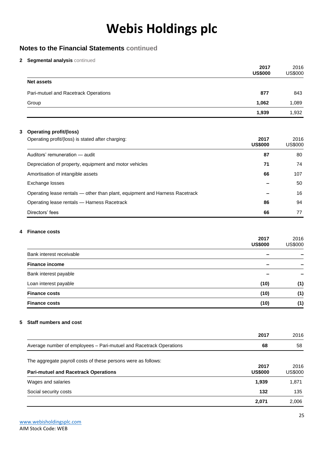### **Notes to the Financial Statements continued**

**2 Segmental analysis** continued

|                                      | 2017<br><b>US\$000</b> | 2016<br><b>US\$000</b> |
|--------------------------------------|------------------------|------------------------|
| <b>Net assets</b>                    |                        |                        |
| Pari-mutuel and Racetrack Operations | 877                    | 843                    |
| Group                                | 1,062                  | 1,089                  |
|                                      | 1,939                  | 1,932                  |

### **3 Operating profit/(loss)**

| Operating profit/(loss) is stated after charging:                           | 2017<br><b>US\$000</b> | 2016<br>US\$000 |
|-----------------------------------------------------------------------------|------------------------|-----------------|
| Auditors' remuneration - audit                                              | 87                     | 80              |
| Depreciation of property, equipment and motor vehicles                      | 71                     | 74              |
| Amortisation of intangible assets                                           | 66                     | 107             |
| Exchange losses                                                             |                        | 50              |
| Operating lease rentals — other than plant, equipment and Harness Racetrack |                        | 16              |
| Operating lease rentals — Harness Racetrack                                 | 86                     | 94              |
| Directors' fees                                                             | 66                     | 77              |

#### **4 Finance costs**

|                          | 2017<br><b>US\$000</b> | 2016<br>US\$000 |
|--------------------------|------------------------|-----------------|
| Bank interest receivable |                        |                 |
| <b>Finance income</b>    |                        |                 |
| Bank interest payable    |                        |                 |
| Loan interest payable    | (10)                   | (1)             |
| <b>Finance costs</b>     | (10)                   | (1)             |
| <b>Finance costs</b>     | (10)                   | (1)             |

#### **5 Staff numbers and cost**

|                                                                    | 2017                   | 2016            |
|--------------------------------------------------------------------|------------------------|-----------------|
| Average number of employees - Pari-mutuel and Racetrack Operations | 68                     | 58              |
| The aggregate payroll costs of these persons were as follows:      |                        |                 |
| <b>Pari-mutuel and Racetrack Operations</b>                        | 2017<br><b>US\$000</b> | 2016<br>US\$000 |
| Wages and salaries                                                 | 1,939                  | 1,871           |
| Social security costs                                              | 132                    | 135             |
|                                                                    | 2,071                  | 2.006           |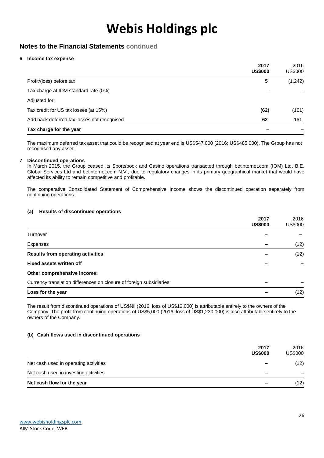### **Notes to the Financial Statements continued**

#### **6 Income tax expense**

|                                             | 2017<br><b>US\$000</b> | 2016<br>US\$000 |
|---------------------------------------------|------------------------|-----------------|
| Profit/(loss) before tax                    | 5                      | (1,242)         |
| Tax charge at IOM standard rate (0%)        |                        |                 |
| Adjusted for:                               |                        |                 |
| Tax credit for US tax losses (at 15%)       | (62)                   | (161)           |
| Add back deferred tax losses not recognised | 62                     | 161             |
| Tax charge for the year                     |                        |                 |

The maximum deferred tax asset that could be recognised at year end is US\$547,000 (2016: US\$485,000). The Group has not recognised any asset.

#### **7 Discontinued operations**

In March 2015, the Group ceased its Sportsbook and Casino operations transacted through betinternet.com (IOM) Ltd, B.E. Global Services Ltd and betinternet.com N.V., due to regulatory changes in its primary geographical market that would have affected its ability to remain competitive and profitable.

The comparative Consolidated Statement of Comprehensive Income shows the discontinued operation separately from continuing operations.

#### **(a) Results of discontinued operations**

|                                                                     | 2017<br><b>US\$000</b> | 2016<br>US\$000 |
|---------------------------------------------------------------------|------------------------|-----------------|
| Turnover                                                            |                        |                 |
| Expenses                                                            |                        | (12)            |
| <b>Results from operating activities</b>                            |                        | (12)            |
| <b>Fixed assets written off</b>                                     |                        |                 |
| Other comprehensive income:                                         |                        |                 |
| Currency translation differences on closure of foreign subsidiaries |                        |                 |
| Loss for the year                                                   |                        | (12)            |

The result from discontinued operations of US\$Nil (2016: loss of US\$12,000) is attributable entirely to the owners of the Company. The profit from continuing operations of US\$5,000 (2016: loss of US\$1,230,000) is also attributable entirely to the owners of the Company.

#### **(b) Cash flows used in discontinued operations**

|                                       | 2017<br><b>US\$000</b>   | 2016<br><b>US\$000</b> |
|---------------------------------------|--------------------------|------------------------|
| Net cash used in operating activities |                          | (12)                   |
| Net cash used in investing activities | $\overline{\phantom{a}}$ |                        |
| Net cash flow for the year            | -                        | (12)                   |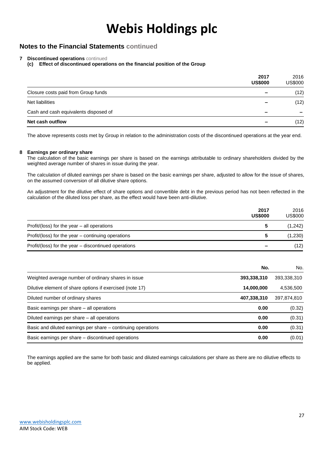### **Notes to the Financial Statements continued**

#### **7 Discontinued operations** continued

**(c) Effect of discontinued operations on the financial position of the Group**

|                                       | 2017<br><b>US\$000</b>   | 2016<br>US\$000 |
|---------------------------------------|--------------------------|-----------------|
| Closure costs paid from Group funds   | $\overline{\phantom{0}}$ | (12)            |
| Net liabilities                       | -                        | (12)            |
| Cash and cash equivalents disposed of | -                        |                 |
| Net cash outflow                      |                          | (12)            |

The above represents costs met by Group in relation to the administration costs of the discontinued operations at the year end.

#### **8 Earnings per ordinary share**

The calculation of the basic earnings per share is based on the earnings attributable to ordinary shareholders divided by the weighted average number of shares in issue during the year.

The calculation of diluted earnings per share is based on the basic earnings per share, adjusted to allow for the issue of shares, on the assumed conversion of all dilutive share options.

An adjustment for the dilutive effect of share options and convertible debt in the previous period has not been reflected in the calculation of the diluted loss per share, as the effect would have been anti-dilutive.

| 2017<br><b>US\$000</b>                                    | 2016<br><b>US\$000</b> |
|-----------------------------------------------------------|------------------------|
| Profit/(loss) for the year $-$ all operations<br>b        | (1, 242)               |
| Profit/(loss) for the year – continuing operations        | (1,230)                |
| Profit/(loss) for the year – discontinued operations<br>- | (12)                   |

|                                                              | No.         | No.         |
|--------------------------------------------------------------|-------------|-------------|
| Weighted average number of ordinary shares in issue          | 393,338,310 | 393,338,310 |
| Dilutive element of share options if exercised (note 17)     | 14,000,000  | 4,536,500   |
| Diluted number of ordinary shares                            | 407,338,310 | 397,874,810 |
| Basic earnings per share – all operations                    | 0.00        | (0.32)      |
| Diluted earnings per share – all operations                  | 0.00        | (0.31)      |
| Basic and diluted earnings per share – continuing operations | 0.00        | (0.31)      |
| Basic earnings per share – discontinued operations           | 0.00        | (0.01)      |

The earnings applied are the same for both basic and diluted earnings calculations per share as there are no dilutive effects to be applied.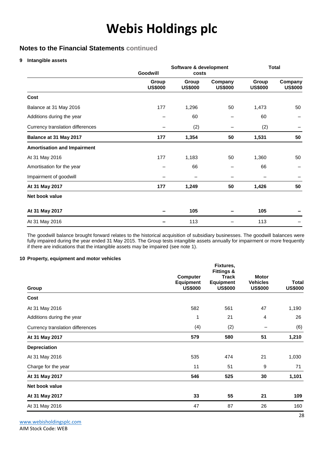### **Notes to the Financial Statements continued**

#### **9 Intangible assets**

|                                    | Goodwill                | Software & development<br>costs |                           | <b>Total</b>            |                           |
|------------------------------------|-------------------------|---------------------------------|---------------------------|-------------------------|---------------------------|
|                                    | Group<br><b>US\$000</b> | Group<br><b>US\$000</b>         | Company<br><b>US\$000</b> | Group<br><b>US\$000</b> | Company<br><b>US\$000</b> |
| Cost                               |                         |                                 |                           |                         |                           |
| Balance at 31 May 2016             | 177                     | 1,296                           | 50                        | 1,473                   | 50                        |
| Additions during the year          |                         | 60                              |                           | 60                      |                           |
| Currency translation differences   |                         | (2)                             |                           | (2)                     |                           |
| Balance at 31 May 2017             | 177                     | 1,354                           | 50                        | 1,531                   | 50                        |
| <b>Amortisation and Impairment</b> |                         |                                 |                           |                         |                           |
| At 31 May 2016                     | 177                     | 1,183                           | 50                        | 1,360                   | 50                        |
| Amortisation for the year          |                         | 66                              |                           | 66                      |                           |
| Impairment of goodwill             |                         |                                 |                           |                         |                           |
| At 31 May 2017                     | 177                     | 1,249                           | 50                        | 1,426                   | 50                        |
| Net book value                     |                         |                                 |                           |                         |                           |
| At 31 May 2017                     |                         | 105                             |                           | 105                     |                           |
| At 31 May 2016                     |                         | 113                             |                           | 113                     |                           |

The goodwill balance brought forward relates to the historical acquisition of subsidiary businesses. The goodwill balances were fully impaired during the year ended 31 May 2015. The Group tests intangible assets annually for impairment or more frequently if there are indications that the intangible assets may be impaired (see note 1).

#### **10 Property, equipment and motor vehicles**

| <b>Computer</b><br><b>Equipment</b><br><b>US\$000</b> | Fixtures,<br><b>Fittings &amp;</b><br><b>Track</b><br><b>Equipment</b><br><b>US\$000</b> | <b>Motor</b><br><b>Vehicles</b><br><b>US\$000</b> | <b>Total</b><br><b>US\$000</b> |
|-------------------------------------------------------|------------------------------------------------------------------------------------------|---------------------------------------------------|--------------------------------|
|                                                       |                                                                                          |                                                   |                                |
| 582                                                   | 561                                                                                      | 47                                                | 1,190                          |
| 1                                                     | 21                                                                                       | 4                                                 | 26                             |
| (4)                                                   | (2)                                                                                      |                                                   | (6)                            |
| 579                                                   | 580                                                                                      | 51                                                | 1,210                          |
|                                                       |                                                                                          |                                                   |                                |
| 535                                                   | 474                                                                                      | 21                                                | 1,030                          |
| 11                                                    | 51                                                                                       | 9                                                 | 71                             |
| 546                                                   | 525                                                                                      | 30                                                | 1,101                          |
|                                                       |                                                                                          |                                                   |                                |
| 33                                                    | 55                                                                                       | 21                                                | 109                            |
| 47                                                    | 87                                                                                       | 26                                                | 160                            |
|                                                       |                                                                                          |                                                   |                                |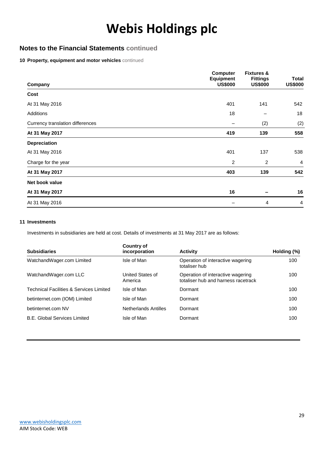### **Notes to the Financial Statements continued**

**10 Property, equipment and motor vehicles** continued

|                                  | <b>Computer</b>                    | <b>Fixtures &amp;</b>             |                                |
|----------------------------------|------------------------------------|-----------------------------------|--------------------------------|
| Company                          | <b>Equipment</b><br><b>US\$000</b> | <b>Fittings</b><br><b>US\$000</b> | <b>Total</b><br><b>US\$000</b> |
| Cost                             |                                    |                                   |                                |
| At 31 May 2016                   | 401                                | 141                               | 542                            |
| Additions                        | 18                                 |                                   | 18                             |
| Currency translation differences |                                    | (2)                               | (2)                            |
| At 31 May 2017                   | 419                                | 139                               | 558                            |
| <b>Depreciation</b>              |                                    |                                   |                                |
| At 31 May 2016                   | 401                                | 137                               | 538                            |
| Charge for the year              | 2                                  | 2                                 | 4                              |
| At 31 May 2017                   | 403                                | 139                               | 542                            |
| Net book value                   |                                    |                                   |                                |
| At 31 May 2017                   | 16                                 |                                   | 16                             |
| At 31 May 2016                   |                                    | 4                                 | $\overline{4}$                 |

#### **11 Investments**

Investments in subsidiaries are held at cost. Details of investments at 31 May 2017 are as follows:

| <b>Subsidiaries</b>                                | <b>Country of</b><br>incorporation | <b>Activity</b>                                                          | Holding (%) |
|----------------------------------------------------|------------------------------------|--------------------------------------------------------------------------|-------------|
| WatchandWager.com Limited                          | Isle of Man                        | Operation of interactive wagering<br>totaliser hub                       | 100         |
| WatchandWager.com LLC                              | United States of<br>America        | Operation of interactive wagering<br>totaliser hub and harness racetrack | 100         |
| <b>Technical Facilities &amp; Services Limited</b> | Isle of Man                        | Dormant                                                                  | 100         |
| betinternet.com (IOM) Limited                      | Isle of Man                        | Dormant                                                                  | 100         |
| betinternet.com NV                                 | Netherlands Antilles               | Dormant                                                                  | 100         |
| <b>B.E. Global Services Limited</b>                | Isle of Man                        | Dormant                                                                  | 100         |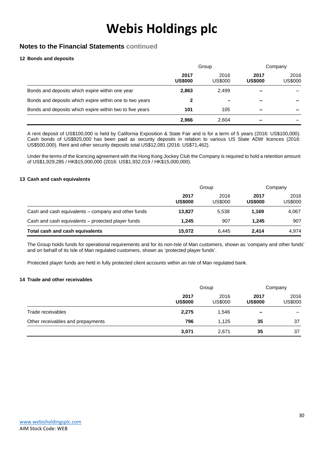### **Notes to the Financial Statements continued**

#### **12 Bonds and deposits**

|                                                          | Group                  |                        | Company                |                          |
|----------------------------------------------------------|------------------------|------------------------|------------------------|--------------------------|
|                                                          | 2017<br><b>US\$000</b> | 2016<br><b>US\$000</b> | 2017<br><b>US\$000</b> | 2016<br>US\$000          |
| Bonds and deposits which expire within one year          | 2,863                  | 2.499                  |                        |                          |
| Bonds and deposits which expire within one to two years  |                        | $\blacksquare$         |                        |                          |
| Bonds and deposits which expire within two to five years | 101                    | 105                    |                        | $\overline{\phantom{a}}$ |
|                                                          | 2.966                  | 2.604                  |                        |                          |

A rent deposit of US\$100,000 is held by California Exposition & State Fair and is for a term of 5 years (2016: US\$100,000). Cash bonds of US\$925,000 has been paid as security deposits in relation to various US State ADW licences (2016: US\$500,000). Rent and other security deposits total US\$12,081 (2016: US\$71,462).

Under the terms of the licencing agreement with the Hong Kong Jockey Club the Company is required to hold a retention amount of US\$1,929,285 / HK\$15,000,000 (2016: US\$1,932,019 / HK\$15,000,000).

#### **13 Cash and cash equivalents**

|                                                     | Group                  |                 | Company                |                 |
|-----------------------------------------------------|------------------------|-----------------|------------------------|-----------------|
|                                                     | 2017<br><b>US\$000</b> | 2016<br>US\$000 | 2017<br><b>US\$000</b> | 2016<br>US\$000 |
| Cash and cash equivalents – company and other funds | 13.827                 | 5.538           | 1.169                  | 4,067           |
| Cash and cash equivalents – protected player funds  | 1.245                  | 907             | 1.245                  | 907             |
| Total cash and cash equivalents                     | 15.072                 | 6.445           | 2.414                  | 4,974           |

The Group holds funds for operational requirements and for its non-Isle of Man customers, shown as 'company and other funds' and on behalf of its Isle of Man regulated customers, shown as 'protected player funds'.

Protected player funds are held in fully protected client accounts within an Isle of Man regulated bank.

#### **14 Trade and other receivables**

|                                   | Group                  |                        | Company                  |                 |
|-----------------------------------|------------------------|------------------------|--------------------------|-----------------|
|                                   | 2017<br><b>US\$000</b> | 2016<br><b>US\$000</b> | 2017<br><b>US\$000</b>   | 2016<br>US\$000 |
| Trade receivables                 | 2,275                  | 1,546                  | $\overline{\phantom{0}}$ | -               |
| Other receivables and prepayments | 796                    | 1.125                  | 35                       | 37              |
|                                   | 3,071                  | 2,671                  | 35                       | 37              |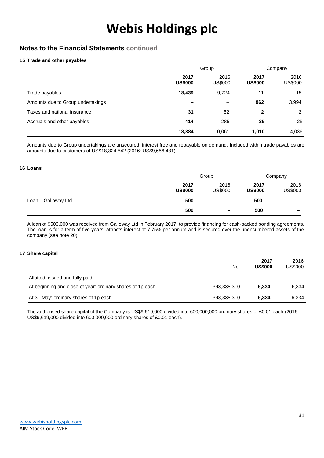### **Notes to the Financial Statements continued**

#### **15 Trade and other payables**

|                                   | Group                  |                 |                        | Company         |
|-----------------------------------|------------------------|-----------------|------------------------|-----------------|
|                                   | 2017<br><b>US\$000</b> | 2016<br>US\$000 | 2017<br><b>US\$000</b> | 2016<br>US\$000 |
| Trade payables                    | 18,439                 | 9,724           | 11                     | 15              |
| Amounts due to Group undertakings |                        | -               | 962                    | 3,994           |
| Taxes and national insurance      | 31                     | 52              | $\mathbf{2}$           | 2               |
| Accruals and other payables       | 414                    | 285             | 35                     | 25              |
|                                   | 18,884                 | 10,061          | 1,010                  | 4,036           |

Amounts due to Group undertakings are unsecured, interest free and repayable on demand. Included within trade payables are amounts due to customers of US\$18,324,542 (2016: US\$9,656,431).

#### **16 Loans**

|                     |                        | Group                        |                        | Company                              |
|---------------------|------------------------|------------------------------|------------------------|--------------------------------------|
|                     | 2017<br><b>US\$000</b> | 2016<br><b>US\$000</b>       | 2017<br><b>US\$000</b> | 2016<br>US\$000                      |
| Loan - Galloway Ltd | 500                    | $\overline{\phantom{a}}$     | 500                    | $\qquad \qquad \  \, -\qquad \qquad$ |
|                     | 500                    | $\qquad \qquad \blacksquare$ | 500                    | $\overline{\phantom{0}}$             |

A loan of \$500,000 was received from Galloway Ltd in February 2017, to provide financing for cash-backed bonding agreements. The loan is for a term of five years, attracts interest at 7.75% per annum and is secured over the unencumbered assets of the company (see note 20).

#### **17 Share capital**

|                                                            | No.         | 2017<br><b>US\$000</b> | 2016<br>US\$000 |
|------------------------------------------------------------|-------------|------------------------|-----------------|
| Allotted, issued and fully paid                            |             |                        |                 |
| At beginning and close of year: ordinary shares of 1p each | 393,338,310 | 6.334                  | 6.334           |
| At 31 May: ordinary shares of 1p each                      | 393,338,310 | 6,334                  | 6,334           |

The authorised share capital of the Company is US\$9,619,000 divided into 600,000,000 ordinary shares of £0.01 each (2016: US\$9,619,000 divided into 600,000,000 ordinary shares of £0.01 each).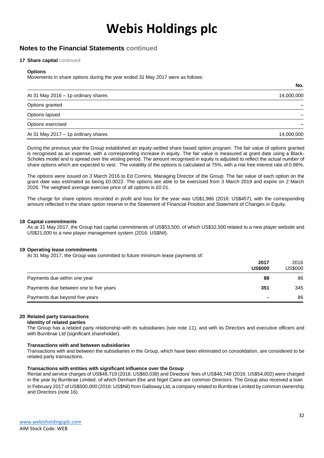### **Notes to the Financial Statements continued**

#### **17 Share capital** continued

#### **Options**

Movements in share options during the year ended 31 May 2017 were as follows:

| At 31 May 2016 - 1p ordinary shares | 14,000,000 |
|-------------------------------------|------------|
| Options granted                     |            |
| Options lapsed                      |            |
| Options exercised                   |            |
| At 31 May 2017 - 1p ordinary shares | 14,000,000 |

During the previous year the Group established an equity-settled share based option program. The fair value of options granted is recognised as an expense, with a corresponding increase in equity. The fair value is measured at grant date using a Black-Scholes model and is spread over the vesting period. The amount recognised in equity is adjusted to reflect the actual number of share options which are expected to vest. The volatility of the options is calculated at 75%, with a risk free interest rate of 0.86%.

The options were issued on 3 March 2016 to Ed Comins, Managing Director of the Group. The fair value of each option on the grant date was estimated as being £0.0022. The options are able to be exercised from 3 March 2019 and expire on 2 March 2026. The weighted average exercise price of all options is £0.01.

The charge for share options recorded in profit and loss for the year was US\$1,986 (2016: US\$457), with the corresponding amount reflected in the share option reserve in the Statement of Financial Position and Statement of Changes in Equity.

#### **18 Capital commitments**

As at 31 May 2017, the Group had capital commitments of US\$53,500, of which US\$32,500 related to a new player website and US\$21,000 to a new player management system (2016: US\$Nil).

#### **19 Operating lease commitments**

At 31 May 2017, the Group was committed to future minimum lease payments of:

|                                        | 2017<br><b>US\$000</b> | 2016<br><b>US\$000</b> |
|----------------------------------------|------------------------|------------------------|
| Payments due within one year           | 88                     | 86                     |
| Payments due between one to five years | 351                    | 345                    |
| Payments due beyond five years         |                        | 86                     |

#### **20 Related party transactions**

#### **Identity of related parties**

The Group has a related party relationship with its subsidiaries (see note 11), and with its Directors and executive officers and with Burnbrae Ltd (significant shareholder).

#### **Transactions with and between subsidiaries**

Transactions with and between the subsidiaries in the Group, which have been eliminated on consolidation, are considered to be related party transactions.

#### **Transactions with entities with significant influence over the Group**

Rental and service charges of US\$48,719 (2016: US\$60,038) and Directors' fees of US\$46,748 (2016: US\$54,002) were charged in the year by Burnbrae Limited, of which Denham Eke and Nigel Caine are common Directors. The Group also received a loan in February 2017 of US\$500,000 (2016: US\$Nil) from Galloway Ltd, a company related to Burnbrae Limited by common ownership and Directors (note 16).

**No.**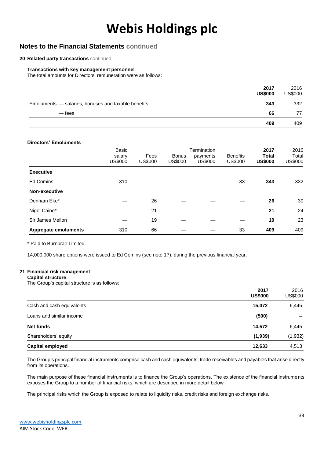### **Notes to the Financial Statements continued**

#### **20 Related party transactions** continued

#### **Transactions with key management personnel**

The total amounts for Directors' remuneration were as follows:

|                                                     | 2017<br><b>US\$000</b> | 2016<br><b>US\$000</b> |
|-----------------------------------------------------|------------------------|------------------------|
| Emoluments - salaries, bonuses and taxable benefits | 343                    | 332                    |
| — fees                                              | 66                     | 77                     |
|                                                     | 409                    | 409                    |

#### **Directors' Emoluments**

|                             | Basic<br>salary<br>US\$000 | Fees<br><b>US\$000</b> | <b>Bonus</b><br>US\$000 | Termination<br>payments<br><b>US\$000</b> | <b>Benefits</b><br><b>US\$000</b> | 2017<br><b>Total</b><br><b>US\$000</b> | 2016<br>Total<br>US\$000 |
|-----------------------------|----------------------------|------------------------|-------------------------|-------------------------------------------|-----------------------------------|----------------------------------------|--------------------------|
| <b>Executive</b>            |                            |                        |                         |                                           |                                   |                                        |                          |
| <b>Ed Comins</b>            | 310                        |                        |                         |                                           | 33                                | 343                                    | 332                      |
| Non-executive               |                            |                        |                         |                                           |                                   |                                        |                          |
| Denham Eke*                 |                            | 26                     |                         |                                           |                                   | 26                                     | 30                       |
| Nigel Caine*                |                            | 21                     |                         |                                           |                                   | 21                                     | 24                       |
| Sir James Mellon            |                            | 19                     |                         |                                           |                                   | 19                                     | 23                       |
| <b>Aggregate emoluments</b> | 310                        | 66                     |                         |                                           | 33                                | 409                                    | 409                      |

\* Paid to Burnbrae Limited.

14,000,000 share options were issued to Ed Comins (see note 17), during the previous financial year.

#### **21 Financial risk management**

**Capital structure** The Group's capital structure is as follows:

|                           | 2017<br><b>US\$000</b> | 2016<br>US\$000 |
|---------------------------|------------------------|-----------------|
| Cash and cash equivalents | 15,072                 | 6,445           |
| Loans and similar income  | (500)                  |                 |
| Net funds                 | 14,572                 | 6,445           |
| Shareholders' equity      | (1,939)                | (1, 932)        |
| <b>Capital employed</b>   | 12,633                 | 4,513           |

The Group's principal financial instruments comprise cash and cash equivalents, trade receivables and payables that arise directly from its operations.

The main purpose of these financial instruments is to finance the Group's operations. The existence of the financial instruments exposes the Group to a number of financial risks, which are described in more detail below.

The principal risks which the Group is exposed to relate to liquidity risks, credit risks and foreign exchange risks.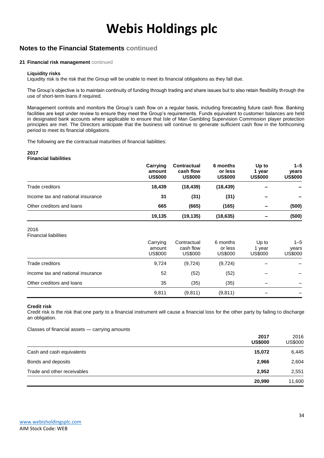### **Notes to the Financial Statements continued**

#### **21 Financial risk management** continued

#### **Liquidity risks**

Liquidity risk is the risk that the Group will be unable to meet its financial obligations as they fall due.

The Group's objective is to maintain continuity of funding through trading and share issues but to also retain flexibility through the use of short-term loans if required.

Management controls and monitors the Group's cash flow on a regular basis, including forecasting future cash flow. Banking facilities are kept under review to ensure they meet the Group's requirements. Funds equivalent to customer balances are held in designated bank accounts where applicable to ensure that Isle of Man Gambling Supervision Commission player protection principles are met. The Directors anticipate that the business will continue to generate sufficient cash flow in the forthcoming period to meet its financial obligations.

The following are the contractual maturities of financial liabilities:

#### **2017 Financial liabilities**

|                                   | Carrying<br>amount<br><b>US\$000</b> | Contractual<br>cash flow<br><b>US\$000</b> | 6 months<br>or less<br><b>US\$000</b> | Up to<br>vear<br><b>US\$000</b> | $1 - 5$<br>years<br><b>US\$000</b> |
|-----------------------------------|--------------------------------------|--------------------------------------------|---------------------------------------|---------------------------------|------------------------------------|
| Trade creditors                   | 18,439                               | (18, 439)                                  | (18, 439)                             | -                               |                                    |
| Income tax and national insurance | 31                                   | (31)                                       | (31)                                  |                                 | $\overline{\phantom{a}}$           |
| Other creditors and loans         | 665                                  | (665)                                      | (165)                                 | $\overline{\phantom{0}}$        | (500)                              |
|                                   | 19,135                               | (19, 135)                                  | (18, 635)                             |                                 | (500)                              |

2016

Financial liabilities

|                                   | Carrying<br>amount<br><b>US\$000</b> | Contractual<br>cash flow<br>US\$000 | 6 months<br>or less<br>US\$000 | Up to<br>vear<br>US\$000 | $1 - 5$<br>vears<br>US\$000 |
|-----------------------------------|--------------------------------------|-------------------------------------|--------------------------------|--------------------------|-----------------------------|
| Trade creditors                   | 9,724                                | (9,724)                             | (9,724)                        |                          |                             |
| Income tax and national insurance | 52                                   | (52)                                | (52)                           |                          |                             |
| Other creditors and loans         | 35                                   | (35)                                | (35)                           |                          |                             |
|                                   | 9,811                                | (9,811)                             | (9,811)                        |                          |                             |

#### **Credit risk**

Credit risk is the risk that one party to a financial instrument will cause a financial loss for the other party by failing to discharge an obligation.

Classes of financial assets — carrying amounts

|                             | 2017<br><b>US\$000</b> | 2016<br>US\$000 |
|-----------------------------|------------------------|-----------------|
| Cash and cash equivalents   | 15,072                 | 6,445           |
| Bonds and deposits          | 2,966                  | 2,604           |
| Trade and other receivables | 2.952                  | 2,551           |
|                             | 20,990                 | 11,600          |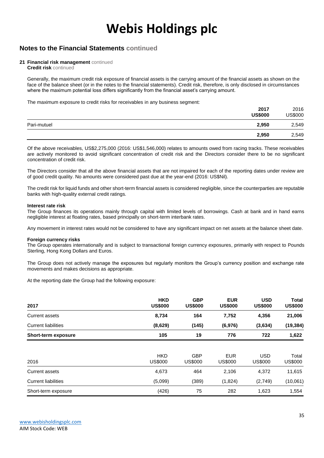### **Notes to the Financial Statements continued**

#### **21 Financial risk management** continued

**Credit risk** continued

Generally, the maximum credit risk exposure of financial assets is the carrying amount of the financial assets as shown on the face of the balance sheet (or in the notes to the financial statements). Credit risk, therefore, is only disclosed in circumstances where the maximum potential loss differs significantly from the financial asset's carrying amount.

The maximum exposure to credit risks for receivables in any business segment:

|             | 2017<br><b>US\$000</b> | 2016<br><b>US\$000</b> |
|-------------|------------------------|------------------------|
| Pari-mutuel | 2,950                  | 2,549                  |
|             | 2,950                  | 2,549                  |

Of the above receivables, US\$2,275,000 (2016: US\$1,546,000) relates to amounts owed from racing tracks. These receivables are actively monitored to avoid significant concentration of credit risk and the Directors consider there to be no significant concentration of credit risk.

The Directors consider that all the above financial assets that are not impaired for each of the reporting dates under review are of good credit quality. No amounts were considered past due at the year-end (2016: US\$Nil).

The credit risk for liquid funds and other short-term financial assets is considered negligible, since the counterparties are reputable banks with high-quality external credit ratings.

#### **Interest rate risk**

The Group finances its operations mainly through capital with limited levels of borrowings. Cash at bank and in hand earns negligible interest at floating rates, based principally on short-term interbank rates.

Any movement in interest rates would not be considered to have any significant impact on net assets at the balance sheet date.

#### **Foreign currency risks**

The Group operates internationally and is subject to transactional foreign currency exposures, primarily with respect to Pounds Sterling, Hong Kong Dollars and Euros.

The Group does not actively manage the exposures but regularly monitors the Group's currency position and exchange rate movements and makes decisions as appropriate.

At the reporting date the Group had the following exposure:

| 2017                       | <b>HKD</b><br><b>US\$000</b> | <b>GBP</b><br><b>US\$000</b> | <b>EUR</b><br><b>US\$000</b> | <b>USD</b><br><b>US\$000</b> | <b>Total</b><br><b>US\$000</b> |
|----------------------------|------------------------------|------------------------------|------------------------------|------------------------------|--------------------------------|
| <b>Current assets</b>      | 8,734                        | 164                          | 7,752                        | 4,356                        | 21,006                         |
| <b>Current liabilities</b> | (8,629)                      | (145)                        | (6,976)                      | (3,634)                      | (19, 384)                      |
| <b>Short-term exposure</b> | 105                          | 19                           | 776                          | 722                          | 1,622                          |
|                            |                              |                              |                              |                              |                                |
| 2016                       | <b>HKD</b><br><b>US\$000</b> | <b>GBP</b><br><b>US\$000</b> | <b>EUR</b><br><b>US\$000</b> | <b>USD</b><br><b>US\$000</b> | Total<br><b>US\$000</b>        |
| <b>Current assets</b>      | 4,673                        | 464                          | 2,106                        | 4,372                        | 11,615                         |
| <b>Current liabilities</b> | (5,099)                      | (389)                        | (1,824)                      | (2,749)                      | (10,061)                       |
| Short-term exposure        | (426)                        | 75                           | 282                          | 1,623                        | 1,554                          |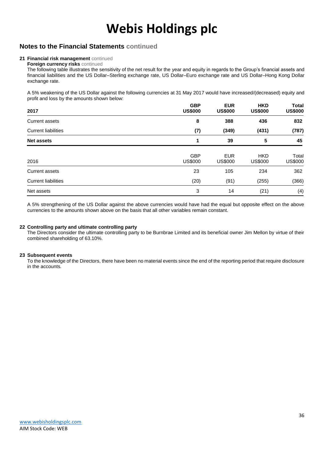### **Notes to the Financial Statements continued**

#### **21 Financial risk management** continued

**Foreign currency risks continued** 

The following table illustrates the sensitivity of the net result for the year and equity in regards to the Group's financial assets and financial liabilities and the US Dollar–Sterling exchange rate, US Dollar–Euro exchange rate and US Dollar–Hong Kong Dollar exchange rate.

A 5% weakening of the US Dollar against the following currencies at 31 May 2017 would have increased/(decreased) equity and profit and loss by the amounts shown below:

| 2017                       | <b>GBP</b><br><b>US\$000</b> | <b>EUR</b><br><b>US\$000</b> | <b>HKD</b><br><b>US\$000</b> | <b>Total</b><br><b>US\$000</b> |
|----------------------------|------------------------------|------------------------------|------------------------------|--------------------------------|
| <b>Current assets</b>      | 8                            | 388                          | 436                          | 832                            |
| <b>Current liabilities</b> | (7)                          | (349)                        | (431)                        | (787)                          |
| <b>Net assets</b>          | 1                            | 39                           | 5                            | 45                             |
| 2016                       | <b>GBP</b><br>US\$000        | <b>EUR</b><br><b>US\$000</b> | <b>HKD</b><br><b>US\$000</b> | Total<br><b>US\$000</b>        |
| Current assets             | 23                           | 105                          | 234                          | 362                            |
| <b>Current liabilities</b> | (20)                         | (91)                         | (255)                        | (366)                          |
| Net assets                 | 3                            | 14                           | (21)                         | (4)                            |

A 5% strengthening of the US Dollar against the above currencies would have had the equal but opposite effect on the above currencies to the amounts shown above on the basis that all other variables remain constant.

#### **22 Controlling party and ultimate controlling party**

The Directors consider the ultimate controlling party to be Burnbrae Limited and its beneficial owner Jim Mellon by virtue of their combined shareholding of 63.10%.

#### **23 Subsequent events**

To the knowledge of the Directors, there have been no material events since the end of the reporting period that require disclosure in the accounts.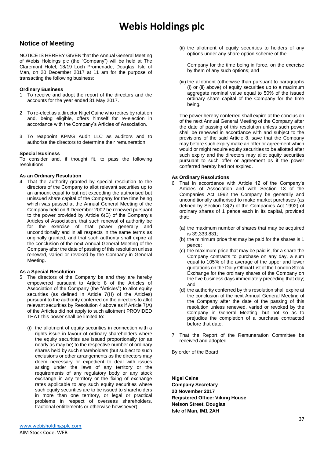## **Notice of Meeting**

NOTICE IS HEREBY GIVEN that the Annual General Meeting of Webis Holdings plc (the "Company") will be held at The Claremont Hotel, 18/19 Loch Promenade, Douglas, Isle of Man, on 20 December 2017 at 11 am for the purpose of transacting the following business:

#### **Ordinary Business**

- 1 To receive and adopt the report of the directors and the accounts for the year ended 31 May 2017.
- 2 To re-elect as a director Nigel Caine who retires by rotation and, being eligible, offers himself for re-election in accordance with the Company's Articles of Association.
- 3 To reappoint KPMG Audit LLC as auditors and to authorise the directors to determine their remuneration.

#### **Special Business**

To consider and, if thought fit, to pass the following resolutions:

#### **As an Ordinary Resolution**

4 That the authority granted by special resolution to the directors of the Company to allot relevant securities up to an amount equal to but not exceeding the authorised but unissued share capital of the Company for the time being which was passed at the Annual General Meeting of the Company held on 9 December 2002 be renewed pursuant to the power provided by Article 6(C) of the Company's Articles of Association, that such renewal of authority be for the exercise of that power generally and unconditionally and in all respects in the same terms as originally granted, and that such authority shall expire at the conclusion of the next Annual General Meeting of the Company after the date of passing of this resolution unless renewed, varied or revoked by the Company in General Meeting.

#### **As a Special Resolution**

- 5 The directors of the Company be and they are hereby empowered pursuant to Article 8 of the Articles of Association of the Company (the "Articles") to allot equity securities (as defined in Article 7(H) of the Articles) pursuant to the authority conferred on the directors to allot relevant securities by Resolution 4 above as if Article 7(A) of the Articles did not apply to such allotment PROVIDED THAT this power shall be limited to:
	- (i) the allotment of equity securities in connection with a rights issue in favour of ordinary shareholders where the equity securities are issued proportionally (or as nearly as may be) to the respective number of ordinary shares held by such shareholders (but subject to such exclusions or other arrangements as the directors may deem necessary or expedient to deal with issues arising under the laws of any territory or the requirements of any regulatory body or any stock exchange in any territory or the fixing of exchange rates applicable to any such equity securities where such equity securities are to be issued to shareholders in more than one territory, or legal or practical problems in respect of overseas shareholders, fractional entitlements or otherwise howsoever);

(ii) the allotment of equity securities to holders of any options under any share option scheme of the

Company for the time being in force, on the exercise by them of any such options; and

(iii) the allotment (otherwise than pursuant to paragraphs (i) or (ii) above) of equity securities up to a maximum aggregate nominal value equal to 50% of the issued ordinary share capital of the Company for the time being.

The power hereby conferred shall expire at the conclusion of the next Annual General Meeting of the Company after the date of passing of this resolution unless such power shall be renewed in accordance with and subject to the provisions of the said Article 8, save that the Company may before such expiry make an offer or agreement which would or might require equity securities to be allotted after such expiry and the directors may allot equity securities pursuant to such offer or agreement as if the power conferred hereby had not expired.

#### **As Ordinary Resolutions**

- 6 That in accordance with Article 12 of the Company's Articles of Association and with Section 13 of the Companies Act 1992 the Company be generally and unconditionally authorised to make market purchases (as defined by Section 13(2) of the Companies Act 1992) of ordinary shares of 1 pence each in its capital, provided that:
	- (a) the maximum number of shares that may be acquired is 39,333,831;
	- (b) the minimum price that may be paid for the shares is 1 pence;
	- (c) the maximum price that may be paid is, for a share the Company contracts to purchase on any day, a sum equal to 105% of the average of the upper and lower quotations on the Daily Official List of the London Stock Exchange for the ordinary shares of the Company on the five business days immediately preceding that day; and
	- (d) the authority conferred by this resolution shall expire at the conclusion of the next Annual General Meeting of the Company after the date of the passing of this resolution unless renewed, varied or revoked by the Company in General Meeting, but not so as to prejudice the completion of a purchase contracted before that date.
- 7 That the Report of the Remuneration Committee be received and adopted.

By order of the Board

**Nigel Caine Company Secretary 20 November 2017 Registered Office: Viking House Nelson Street, Douglas Isle of Man, IM1 2AH**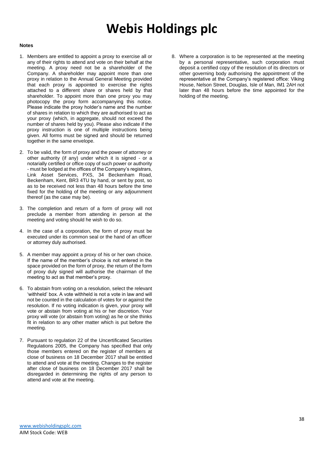#### **Notes**

- 1. Members are entitled to appoint a proxy to exercise all or any of their rights to attend and vote on their behalf at the meeting. A proxy need not be a shareholder of the Company. A shareholder may appoint more than one proxy in relation to the Annual General Meeting provided that each proxy is appointed to exercise the rights attached to a different share or shares held by that shareholder. To appoint more than one proxy you may photocopy the proxy form accompanying this notice. Please indicate the proxy holder's name and the number of shares in relation to which they are authorised to act as your proxy (which, in aggregate, should not exceed the number of shares held by you). Please also indicate if the proxy instruction is one of multiple instructions being given. All forms must be signed and should be returned together in the same envelope.
- 2. To be valid, the form of proxy and the power of attorney or other authority (if any) under which it is signed - or a notarially certified or office copy of such power or authority - must be lodged at the offices of the Company's registrars, Link Asset Services, PXS, 34 Beckenham Road, Beckenham, Kent, BR3 4TU by hand, or sent by post, so as to be received not less than 48 hours before the time fixed for the holding of the meeting or any adjournment thereof (as the case may be).
- 3. The completion and return of a form of proxy will not preclude a member from attending in person at the meeting and voting should he wish to do so.
- 4. In the case of a corporation, the form of proxy must be executed under its common seal or the hand of an officer or attorney duly authorised.
- 5. A member may appoint a proxy of his or her own choice. If the name of the member's choice is not entered in the space provided on the form of proxy, the return of the form of proxy duly signed will authorise the chairman of the meeting to act as that member's proxy.
- 6. To abstain from voting on a resolution, select the relevant 'withheld' box. A vote withheld is not a vote in law and will not be counted in the calculation of votes for or against the resolution. If no voting indication is given, your proxy will vote or abstain from voting at his or her discretion. Your proxy will vote (or abstain from voting) as he or she thinks fit in relation to any other matter which is put before the meeting.
- 7. Pursuant to regulation 22 of the Uncertificated Securities Regulations 2005, the Company has specified that only those members entered on the register of members at close of business on 18 December 2017 shall be entitled to attend and vote at the meeting. Changes to the register after close of business on 18 December 2017 shall be disregarded in determining the rights of any person to attend and vote at the meeting.

8. Where a corporation is to be represented at the meeting by a personal representative, such corporation must deposit a certified copy of the resolution of its directors or other governing body authorising the appointment of the representative at the Company's registered office: Viking House, Nelson Street, Douglas, Isle of Man, IM1 2AH not later than 48 hours before the time appointed for the holding of the meeting.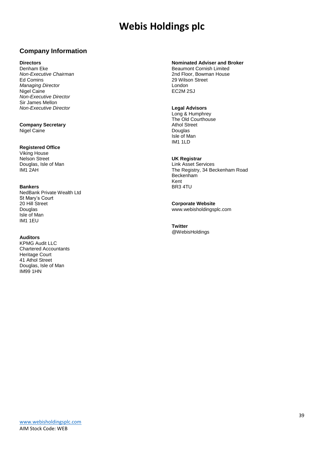## **Company Information**

#### **Directors**

Denham Eke *Non-Executive Chairman* Ed Comins *Managing Director* Nigel Caine *Non-Executive Director* Sir James Mellon *Non-Executive Director*

**Company Secretary** Nigel Caine

#### **Registered Office**

Viking House Nelson Street Douglas, Isle of Man IM1 2AH

#### **Bankers**

NedBank Private Wealth Ltd St Mary's Court 20 Hill Street Douglas Isle of Man IM1 1EU

#### **Auditors**

KPMG Audit LLC Chartered Accountants Heritage Court 41 Athol Street Douglas, Isle of Man IM99 1HN

### **Nominated Adviser and Broker**

Beaumont Cornish Limited 2nd Floor, Bowman House 29 Wilson Street London EC2M 2SJ

#### **Legal Advisors**

Long & Humphrey The Old Courthouse Athol Street Douglas Isle of Man IM1 1LD

#### **UK Registrar**

Link Asset Services The Registry, 34 Beckenham Road **Beckenham** Kent BR3 4TU

**Corporate Website** www.webisholdingsplc.com

**Twitter** @WebisHoldings